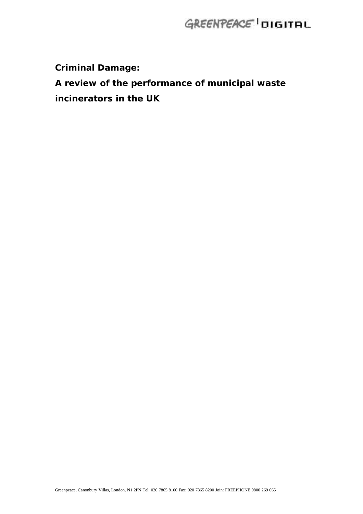**Criminal Damage:**

# **A review of the performance of municipal waste**

**incinerators in the UK**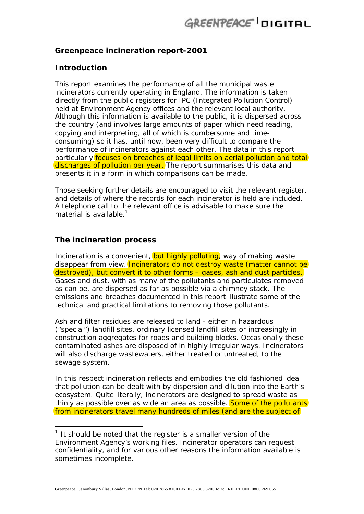### **Greenpeace incineration report-2001**

### **Introduction**

This report examines the performance of all the municipal waste incinerators currently operating in England. The information is taken directly from the public registers for IPC (Integrated Pollution Control) held at Environment Agency offices and the relevant local authority. Although this information is available to the public, it is dispersed across the country (and involves large amounts of paper which need reading, copying and interpreting, all of which is cumbersome and timeconsuming) so it has, until now, been very difficult to compare the performance of incinerators against each other. The data in this report particularly focuses on breaches of legal limits on aerial pollution and total discharges of pollution per year. The report summarises this data and presents it in a form in which comparisons can be made.

Those seeking further details are encouraged to visit the relevant register, and details of where the records for each incinerator is held are included. A telephone call to the relevant office is advisable to make sure the material is available.<sup>1</sup>

### **The incineration process**

 $\overline{a}$ 

Incineration is a convenient, but highly polluting, way of making waste disappear from view. Incinerators do not destroy waste (matter cannot be destroyed), but convert it to other forms – gases, ash and dust particles. Gases and dust, with as many of the pollutants and particulates removed as can be, are dispersed as far as possible via a chimney stack. The emissions and breaches documented in this report illustrate some of the technical and practical limitations to removing those pollutants.

Ash and filter residues are released to land - either in hazardous ("special") landfill sites, ordinary licensed landfill sites or increasingly in construction aggregates for roads and building blocks. Occasionally these contaminated ashes are disposed of in highly irregular ways. Incinerators will also discharge wastewaters, either treated or untreated, to the sewage system.

In this respect incineration reflects and embodies the old fashioned idea that pollution can be dealt with by dispersion and dilution into the Earth's ecosystem. Quite literally, incinerators are designed to spread waste as thinly as possible over as wide an area as possible. Some of the pollutants from incinerators travel many hundreds of miles (and are the subject of

 $1$  It should be noted that the register is a smaller version of the Environment Agency's working files. Incinerator operators can request confidentiality, and for various other reasons the information available is sometimes incomplete.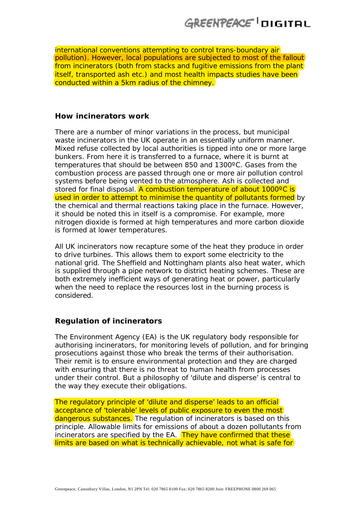international conventions attempting to control trans-boundary air pollution). However, local populations are subjected to most of the fallout from incinerators (both from stacks and fugitive emissions from the plant itself, transported ash etc.) and most health impacts studies have been conducted within a 5km radius of the chimney.

#### **How incinerators work**

There are a number of minor variations in the process, but municipal waste incinerators in the UK operate in an essentially uniform manner. Mixed refuse collected by local authorities is tipped into one or more large bunkers. From here it is transferred to a furnace, where it is burnt at temperatures that should be between 850 and 1300ºC. Gases from the combustion process are passed through one or more air pollution control systems before being vented to the atmosphere. Ash is collected and stored for final disposal. A combustion temperature of about 1000°C is used in order to attempt to minimise the quantity of pollutants formed by the chemical and thermal reactions taking place in the furnace. However, it should be noted this in itself is a compromise. For example, more nitrogen dioxide is formed at high temperatures and more carbon dioxide is formed at lower temperatures.

All UK incinerators now recapture some of the heat they produce in order to drive turbines. This allows them to export some electricity to the national grid. The Sheffield and Nottingham plants also heat water, which is supplied through a pipe network to district heating schemes. These are both extremely inefficient ways of generating heat or power, particularly when the need to replace the resources lost in the burning process is considered.

#### **Regulation of incinerators**

The Environment Agency (EA) is the UK regulatory body responsible for authorising incinerators, for monitoring levels of pollution, and for bringing prosecutions against those who break the terms of their authorisation. Their remit is to ensure environmental protection and they are charged with ensuring that there is no threat to human health from processes under their control. But a philosophy of 'dilute and disperse' is central to the way they execute their obligations.

The regulatory principle of 'dilute and disperse' leads to an official acceptance of 'tolerable' levels of public exposure to even the most dangerous substances. The regulation of incinerators is based on this principle. Allowable limits for emissions of about a dozen pollutants from incinerators are specified by the EA. They have confirmed that these limits are based on what is technically achievable, *not* what is safe for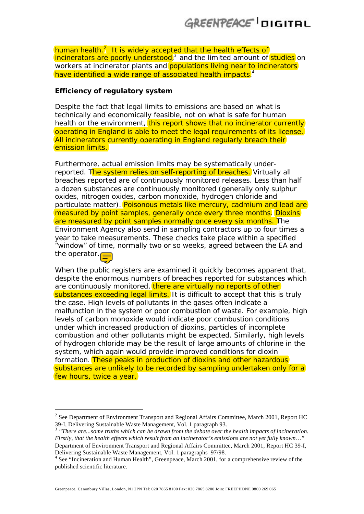human health.<sup>2</sup> It is widely accepted that the health effects of incinerators are poorly understood,<sup>3</sup> and the limited amount of studies on workers at incinerator plants and **populations living near to incinerators** have identified a wide range of associated health impacts.<sup>4</sup>

### **Efficiency of regulatory system**

Despite the fact that legal limits to emissions are based on what is technically and economically feasible, not on what is safe for human health or the environment, this report shows that no incinerator currently operating in England is able to meet the legal requirements of its license. All incinerators currently operating in England regularly breach their emission limits.

Furthermore, actual emission limits may be systematically underreported. The system relies on self-reporting of breaches. Virtually all breaches reported are of continuously monitored releases. Less than half a dozen substances are continuously monitored (generally only sulphur oxides, nitrogen oxides, carbon monoxide, hydrogen chloride and particulate matter). Poisonous metals like mercury, cadmium and lead are measured by point samples, generally once every three months. Dioxins are measured by point samples normally once every six months. The Environment Agency also send in sampling contractors up to four times a year to take measurements. These checks take place within a specified "window" of time, normally two or so weeks, agreed between the EA and the operator. $\equiv$ 



 $\overline{a}$ 

When the public registers are examined it quickly becomes apparent that, despite the enormous numbers of breaches reported for substances which are continuously monitored, there are virtually no reports of other substances exceeding legal limits. It is difficult to accept that this is truly the case. High levels of pollutants in the gases often indicate a malfunction in the system or poor combustion of waste. For example, high levels of carbon monoxide would indicate poor combustion conditions under which increased production of dioxins, particles of incomplete combustion and other pollutants might be expected. Similarly, high levels of hydrogen chloride may be the result of large amounts of chlorine in the system, which again would provide improved conditions for dioxin formation. These peaks in production of dioxins and other hazardous substances are unlikely to be recorded by sampling undertaken only for a few hours, twice a year.

Greenpeace, Canonbury Villas, London, N1 2PN Tel: 020 7865 8100 Fax: 020 7865 8200 Join: FREEPHONE 0800 269 065

 $2^{2}$  See Department of Environment Transport and Regional Affairs Committee, March 2001, Report HC 39-I, Delivering Sustainable Waste Management, Vol. 1 paragraph 93.

<sup>3</sup> *"There are...some truths which can be drawn from the debate over the health impacts of incineration. Firstly, that the health effects which result from an incinerator's emissions are not yet fully known…"* Department of Environment Transport and Regional Affairs Committee, March 2001, Report HC 39-I, Delivering Sustainable Waste Management, Vol. 1 paragraphs 97/98.

<sup>&</sup>lt;sup>4</sup> See "Incineration and Human Health", Greenpeace, March 2001, for a comprehensive review of the published scientific literature.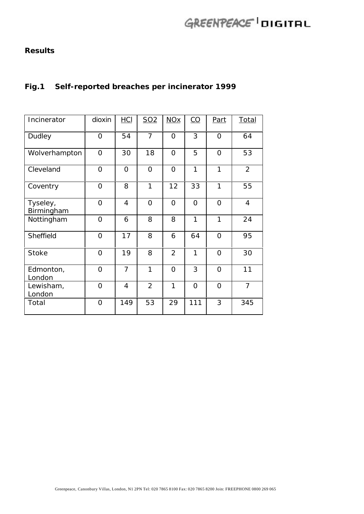### **Results**

## **Fig.1 Self-reported breaches per incinerator 1999**

| Incinerator            | dioxin         | <u>HCI</u>     | <u>SO2</u>     | <b>NOx</b>     | $\underline{CO}$ | Part           | <b>Total</b>   |
|------------------------|----------------|----------------|----------------|----------------|------------------|----------------|----------------|
| Dudley                 | 0              | 54             | $\overline{7}$ | $\mathbf 0$    | 3                | $\Omega$       | 64             |
| Wolverhampton          | 0              | 30             | 18             | $\mathbf 0$    | 5                | $\Omega$       | 53             |
| Cleveland              | $\overline{O}$ | $\Omega$       | $\overline{O}$ | $\Omega$       | 1                | 1              | $\overline{2}$ |
| Coventry               | $\Omega$       | 8              | 1              | 12             | 33               | 1              | 55             |
| Tyseley,<br>Birmingham | $\Omega$       | 4              | $\Omega$       | $\Omega$       | $\Omega$         | $\Omega$       | $\overline{4}$ |
| Nottingham             | 0              | 6              | 8              | 8              | 1                | 1              | 24             |
| Sheffield              | $\Omega$       | 17             | 8              | 6              | 64               | $\Omega$       | 95             |
| <b>Stoke</b>           | 0              | 19             | 8              | $\overline{2}$ | 1                | $\Omega$       | 30             |
| Edmonton,<br>London    | 0              | $\overline{7}$ | 1              | $\mathbf 0$    | 3                | $\mathbf 0$    | 11             |
| Lewisham,<br>London    | 0              | 4              | $\overline{2}$ | 1              | $\mathbf 0$      | $\overline{O}$ | $\overline{7}$ |
| Total                  | 0              | 149            | 53             | 29             | 111              | 3              | 345            |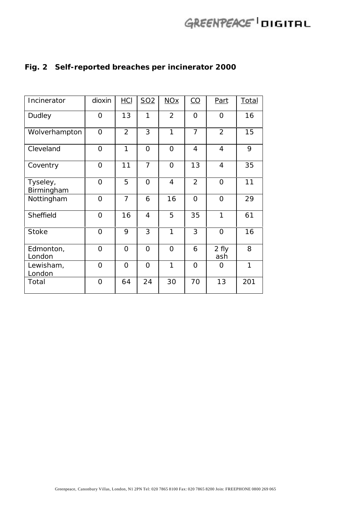| Incinerator            | dioxin         | <u>HCI</u>     | <u>SO2</u>     | $NOx$          | $\underline{CO}$ | Part           | <b>Total</b> |
|------------------------|----------------|----------------|----------------|----------------|------------------|----------------|--------------|
| Dudley                 | O              | 13             | 1              | $\overline{2}$ | $\Omega$         | $\mathbf 0$    | 16           |
| Wolverhampton          | 0              | $\overline{2}$ | 3              | 1              | $\overline{7}$   | $\overline{2}$ | 15           |
| Cleveland              | $\overline{O}$ | 1              | $\Omega$       | 0              | 4                | 4              | 9            |
| Coventry               | $\Omega$       | 11             | $\overline{7}$ | $\Omega$       | 13               | 4              | 35           |
| Tyseley,<br>Birmingham | $\Omega$       | 5              | $\Omega$       | 4              | $\overline{2}$   | $\mathbf 0$    | 11           |
| Nottingham             | 0              | $\overline{7}$ | 6              | 16             | $\Omega$         | $\Omega$       | 29           |
| Sheffield              | $\Omega$       | 16             | 4              | 5              | 35               | 1              | 61           |
| <b>Stoke</b>           | $\overline{O}$ | 9              | 3              | 1              | 3                | $\Omega$       | 16           |
| Edmonton,<br>London    | 0              | $\overline{0}$ | $\Omega$       | 0              | 6                | 2 fly<br>ash   | 8            |
| Lewisham,<br>London    | 0              | $\overline{0}$ | $\mathbf{O}$   | 1              | O                | $\Omega$       | 1            |
| Total                  | 0              | 64             | 24             | 30             | 70               | 13             | 201          |

## **Fig. 2 Self-reported breaches per incinerator 2000**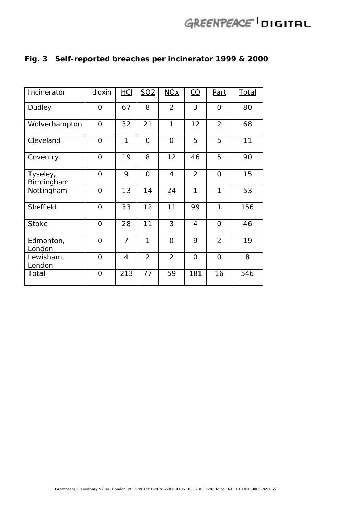| Incinerator            | dioxin       | <u>HCI</u>     | SO <sub>2</sub> | <b>NOx</b>     | $\underline{CO}$ | Part           | <u>Total</u> |
|------------------------|--------------|----------------|-----------------|----------------|------------------|----------------|--------------|
| Dudley                 | O            | 67             | 8               | $\overline{2}$ | 3                | $\mathbf 0$    | 80           |
| Wolverhampton          | $\mathbf{O}$ | 32             | 21              | 1              | 12               | $\overline{2}$ | 68           |
| Cleveland              | $\Omega$     | 1              | $\Omega$        | $\Omega$       | 5                | 5              | 11           |
| Coventry               | O            | 19             | 8               | 12             | 46               | 5              | 90           |
| Tyseley,<br>Birmingham | $\Omega$     | 9              | $\Omega$        | 4              | $\overline{2}$   | $\Omega$       | 15           |
| Nottingham             | $\mathbf{O}$ | 13             | 14              | 24             | 1                | 1              | 53           |
| Sheffield              | $\Omega$     | 33             | 12              | 11             | 99               | 1              | 156          |
| <b>Stoke</b>           | 0            | 28             | 11              | 3              | 4                | $\mathbf 0$    | 46           |
| Edmonton,<br>London    | O            | $\overline{7}$ | 1               | $\Omega$       | 9                | $\overline{2}$ | 19           |
| Lewisham,<br>London    | 0            | 4              | $\overline{2}$  | $\overline{2}$ | $\mathbf 0$      | $\Omega$       | 8            |
| Total                  | $\mathbf 0$  | 213            | 77              | 59             | 181              | 16             | 546          |

## **Fig. 3 Self-reported breaches per incinerator 1999 & 2000**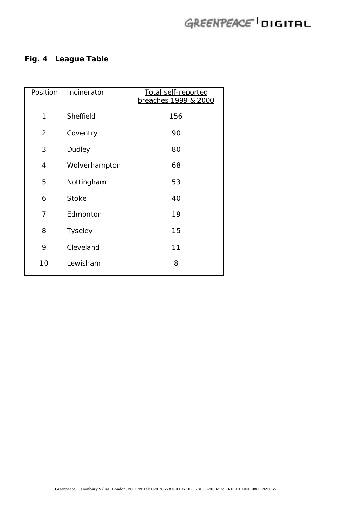## **Fig. 4 League Table**

|                | Position Incinerator | Total self-reported<br>breaches 1999 & 2000 |
|----------------|----------------------|---------------------------------------------|
| 1              | Sheffield            | 156                                         |
| $\overline{2}$ | Coventry             | 90                                          |
| 3              | Dudley               | 80                                          |
| 4              | Wolverhampton        | 68                                          |
| 5              | Nottingham           | 53                                          |
| 6              | <b>Stoke</b>         | 40                                          |
| 7              | Edmonton             | 19                                          |
| 8              | <b>Tyseley</b>       | 15                                          |
| 9              | Cleveland            | 11                                          |
| 10             | Lewisham             | 8                                           |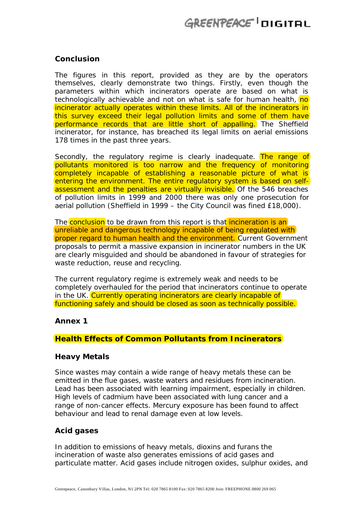### **Conclusion**

The figures in this report, provided as they are by the operators themselves, clearly demonstrate two things. Firstly, even though the parameters within which incinerators operate are based on what is technologically achievable and not on what is safe for human health, no incinerator actually operates within these limits. All of the incinerators in this survey exceed their legal pollution limits and some of them have performance records that are little short of appalling. The Sheffield incinerator, for instance, has breached its legal limits on aerial emissions 178 times in the past three years.

Secondly, the regulatory regime is clearly inadequate. The range of pollutants monitored is too narrow and the frequency of monitoring completely incapable of establishing a reasonable picture of what is entering the environment. The entire regulatory system is based on selfassessment and the penalties are virtually invisible. Of the 546 breaches of pollution limits in 1999 and 2000 there was only one prosecution for aerial pollution (Sheffield in 1999 – the City Council was fined £18,000).

The conclusion to be drawn from this report is that incineration is an unreliable and dangerous technology incapable of being regulated with proper regard to human health and the environment. Current Government proposals to permit a massive expansion in incinerator numbers in the UK are clearly misguided and should be abandoned in favour of strategies for waste reduction, reuse and recycling.

The current regulatory regime is extremely weak and needs to be completely overhauled for the period that incinerators continue to operate in the UK. Currently operating incinerators are clearly incapable of functioning safely and should be closed as soon as technically possible.

### **Annex 1**

### **Health Effects of Common Pollutants from Incinerators**

#### **Heavy Metals**

Since wastes may contain a wide range of heavy metals these can be emitted in the flue gases, waste waters and residues from incineration. Lead has been associated with learning impairment, especially in children. High levels of cadmium have been associated with lung cancer and a range of non-cancer effects. Mercury exposure has been found to affect behaviour and lead to renal damage even at low levels.

### **Acid gases**

In addition to emissions of heavy metals, dioxins and furans the incineration of waste also generates emissions of acid gases and particulate matter. Acid gases include nitrogen oxides, sulphur oxides, and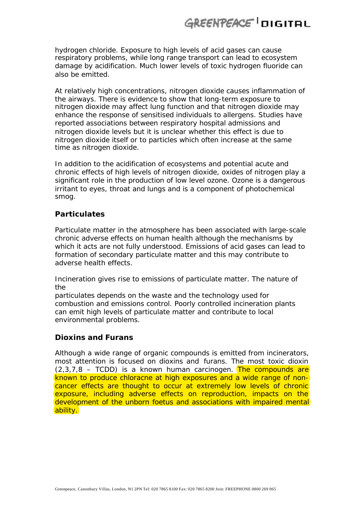hydrogen chloride. Exposure to high levels of acid gases can cause respiratory problems, while long range transport can lead to ecosystem damage by acidification. Much lower levels of toxic hydrogen fluoride can also be emitted.

At relatively high concentrations, nitrogen dioxide causes inflammation of the airways. There is evidence to show that long-term exposure to nitrogen dioxide may affect lung function and that nitrogen dioxide may enhance the response of sensitised individuals to allergens. Studies have reported associations between respiratory hospital admissions and nitrogen dioxide levels but it is unclear whether this effect is due to nitrogen dioxide itself or to particles which often increase at the same time as nitrogen dioxide.

In addition to the acidification of ecosystems and potential acute and chronic effects of high levels of nitrogen dioxide, oxides of nitrogen play a significant role in the production of low level ozone. Ozone is a dangerous irritant to eyes, throat and lungs and is a component of photochemical smog.

### **Particulates**

Particulate matter in the atmosphere has been associated with large-scale chronic adverse effects on human health although the mechanisms by which it acts are not fully understood. Emissions of acid gases can lead to formation of secondary particulate matter and this may contribute to adverse health effects.

Incineration gives rise to emissions of particulate matter. The nature of the

particulates depends on the waste and the technology used for combustion and emissions control. Poorly controlled incineration plants can emit high levels of particulate matter and contribute to local environmental problems.

### **Dioxins and Furans**

Although a wide range of organic compounds is emitted from incinerators, most attention is focused on dioxins and furans. The most toxic dioxin  $(2,3,7,8 - \text{TCDD})$  is a known human carcinogen. The compounds are known to produce chloracne at high exposures and a wide range of noncancer effects are thought to occur at extremely low levels of chronic exposure, including adverse effects on reproduction, impacts on the development of the unborn foetus and associations with impaired mental ability.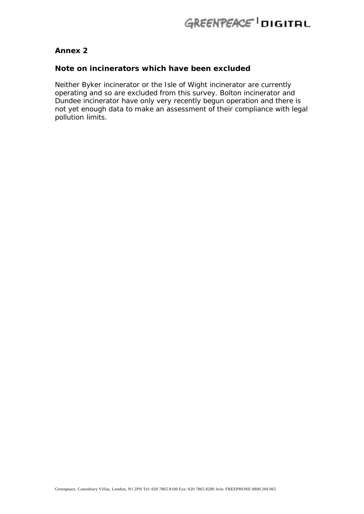### **Annex 2**

### **Note on incinerators which have been excluded**

Neither Byker incinerator or the Isle of Wight incinerator are currently operating and so are excluded from this survey. Bolton incinerator and Dundee incinerator have only very recently begun operation and there is not yet enough data to make an assessment of their compliance with legal pollution limits.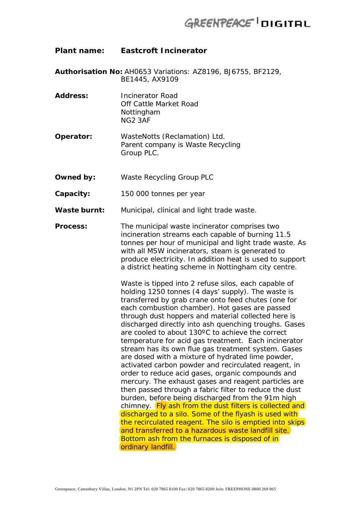### **Plant name: Eastcroft Incinerator**

- **Authorisation No:** AH0653 Variations: AZ8196, BJ6755, BF2129, BE1445, AX9109
- **Address:** Incinerator Road Off Cattle Market Road Nottingham NG2 3AF
- **Operator:** WasteNotts (Reclamation) Ltd. Parent company is Waste Recycling Group PLC.
- **Owned by:** Waste Recycling Group PLC
- **Capacity:** 150 000 tonnes per year
- **Waste burnt:** Municipal, clinical and light trade waste.
- **Process:** The municipal waste incinerator comprises two incineration streams each capable of burning 11.5 tonnes per hour of municipal and light trade waste. As with all MSW incinerators, steam is generated to produce electricity. In addition heat is used to support a district heating scheme in Nottingham city centre.

Waste is tipped into 2 refuse silos, each capable of holding 1250 tonnes (4 days' supply). The waste is transferred by grab crane onto feed chutes (one for each combustion chamber). Hot gases are passed through dust hoppers and material collected here is discharged directly into ash quenching troughs. Gases are cooled to about 130ºC to achieve the correct temperature for acid gas treatment. Each incinerator stream has its own flue gas treatment system. Gases are dosed with a mixture of hydrated lime powder, activated carbon powder and recirculated reagent, in order to reduce acid gases, organic compounds and mercury. The exhaust gases and reagent particles are then passed through a fabric filter to reduce the dust burden, before being discharged from the 91m high chimney. Fly ash from the dust filters is collected and discharged to a silo. Some of the flyash is used with the recirculated reagent. The silo is emptied into skips and transferred to a hazardous waste landfill site. Bottom ash from the furnaces is disposed of in ordinary landfill.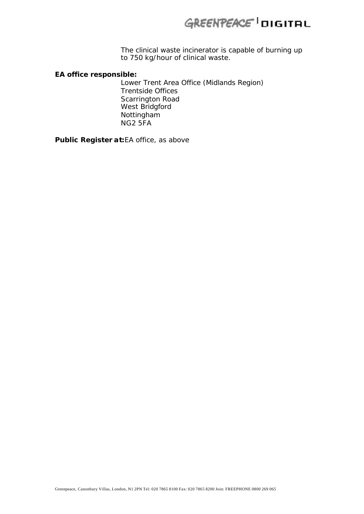The clinical waste incinerator is capable of burning up to 750 kg/hour of clinical waste.

#### **EA office responsible:**

Lower Trent Area Office (Midlands Region) Trentside Offices Scarrington Road West Bridgford Nottingham NG2 5FA

**Public Register at:**EA office, as above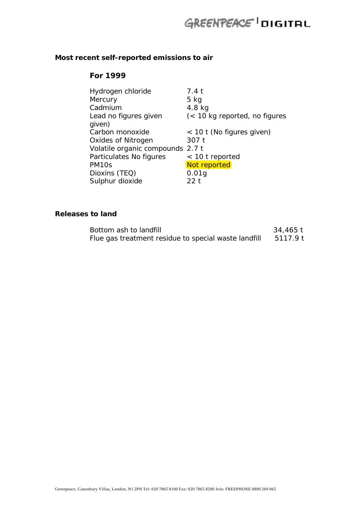## **Most recent self-reported emissions to air**

### **For 1999**

| Hydrogen chloride                | 7.4 t                         |
|----------------------------------|-------------------------------|
| Mercury                          | $5$ kg                        |
| Cadmium                          | $4.8$ kg                      |
| Lead no figures given            | (< 10 kg reported, no figures |
| given)                           |                               |
| Carbon monoxide                  | < 10 t (No figures given)     |
| Oxides of Nitrogen               | 307 t                         |
| Volatile organic compounds 2.7 t |                               |
| Particulates No figures          | $<$ 10 t reported             |
| PM <sub>10s</sub>                | Not reported                  |
| Dioxins (TEQ)                    | 0.01g                         |
| Sulphur dioxide                  | 22 t                          |

### **Releases to land**

| Bottom ash to landfill                               | 34,465 t |
|------------------------------------------------------|----------|
| Flue gas treatment residue to special waste landfill | 5117.9 t |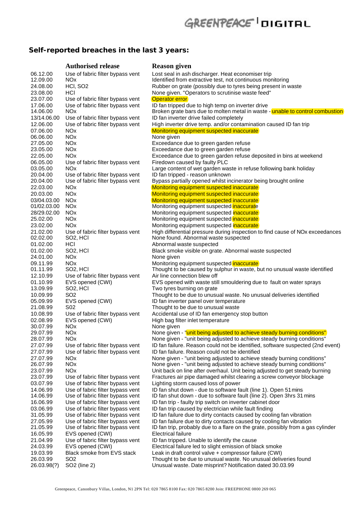## **Self-reported breaches in the last 3 years:**

|                      | <b>Authorised release</b>                            | <b>Reason given</b>                                                                                                                                |
|----------------------|------------------------------------------------------|----------------------------------------------------------------------------------------------------------------------------------------------------|
| 06.12.00             | Use of fabric filter bypass vent                     | Lost seal in ash discharger. Heat economiser trip                                                                                                  |
| 12.09.00             | <b>NOx</b>                                           | Identified from extractive test, not continuous monitoring                                                                                         |
| 24.08.00             | HCI, SO <sub>2</sub>                                 | Rubber on grate (possibly due to tyres being present in waste                                                                                      |
| 23.08.00             | HCI                                                  | None given. "Operators to scrutinise waste feed"                                                                                                   |
| 23.07.00             | Use of fabric filter bypass vent                     | <b>Operator error</b>                                                                                                                              |
| 17.06.00<br>14.06.00 | Use of fabric filter bypass vent                     | ID fan tripped due to high temp on inverter drive                                                                                                  |
| 13/14.06.00          | NOx.<br>Use of fabric filter bypass vent             | Broken grate bars due to molten metal in waste - unable to control combustion<br>ID fan inverter drive failed completely                           |
| 12.06.00             | Use of fabric filter bypass vent                     | High inverter drive temp. and/or contamination caused ID fan trip                                                                                  |
| 07.06.00             | <b>NOx</b>                                           | Monitoring equipment suspected inaccurate                                                                                                          |
| 06.06.00             | NO <sub>x</sub>                                      | None given                                                                                                                                         |
| 27.05.00             | NO <sub>x</sub>                                      | Exceedance due to green garden refuse                                                                                                              |
| 23.05.00             | <b>NO<sub>x</sub></b>                                | Exceedance due to green garden refuse                                                                                                              |
| 22.05.00             | <b>NO<sub>x</sub></b>                                | Exceedance due to green garden refuse deposited in bins at weekend                                                                                 |
| 06.05.00             | Use of fabric filter bypass vent                     | Firedown caused by faulty PLC                                                                                                                      |
| 03.05.00             | <b>NOx</b>                                           | Large content of wet garden waste in refuse following bank holiday                                                                                 |
| 20.04.00             | Use of fabric filter bypass vent                     | ID fan tripped - reason unknown                                                                                                                    |
| 20.04.00             | Use of fabric filter bypass vent                     | Bypass partially opened whilst incinerator being brought online                                                                                    |
| 22.03.00<br>20.03.00 | <b>NO<sub>x</sub></b>                                | Monitoring equipment suspected inaccurate                                                                                                          |
| 03/04.03.00          | NO <sub>x</sub><br><b>NO<sub>x</sub></b>             | Monitoring equipment suspected inaccurate<br>Monitoring equipment suspected inaccurate                                                             |
| 01/02.03.00          | <b>NOx</b>                                           | Monitoring equipment suspected inaccurate                                                                                                          |
| 28/29.02.00          | <b>NOx</b>                                           | Monitoring equipment suspected inaccurate                                                                                                          |
| 25.02.00             | <b>NOx</b>                                           | Monitoring equipment suspected inaccurate                                                                                                          |
| 23.02.00             | <b>NO<sub>x</sub></b>                                | Monitoring equipment suspected inaccurate                                                                                                          |
| 21.02.00             | Use of fabric filter bypass vent                     | High differential pressure during inspection to find cause of NOx exceedances                                                                      |
| 02.02.00             | SO <sub>2</sub> , HCI                                | None found. Abnormal waste suspected                                                                                                               |
| 01.02.00             | HCI                                                  | Abnormal waste suspected                                                                                                                           |
| 01.02.00             | SO <sub>2</sub> , HCI                                | Black smoke visible on grate. Abnormal waste suspected                                                                                             |
| 24.01.00             | <b>NO<sub>x</sub></b>                                | None given                                                                                                                                         |
| 09.11.99             | NO <sub>x</sub>                                      | Monitoring equipment suspected inaccurate                                                                                                          |
| 01.11.99             | SO <sub>2</sub> , HCI                                | Thought to be caused by sulphur in waste, but no unusual waste identified                                                                          |
| 12.10.99<br>01.10.99 | Use of fabric filter bypass vent<br>EVS opened (CWI) | Air line connection blew off<br>EVS opened with waste still smouldering due to fault on water sprays                                               |
| 13.09.99             | SO <sub>2</sub> , HCI                                | Two tyres burning on grate                                                                                                                         |
| 10.09.99             | SO <sub>2</sub>                                      | Thought to be due to unusual waste. No unusual deliveries identified                                                                               |
| 05.09.99             | EVS opened (CWI)                                     | ID fan inverter panel over temperature                                                                                                             |
| 21.08.99             | S <sub>02</sub>                                      | Thought to be due to unusual waste                                                                                                                 |
| 10.08.99             | Use of fabric filter bypass vent                     | Accidental use of ID fan emergency stop button                                                                                                     |
| 02.08.99             | EVS opened (CWI)                                     | High bag filter inlet temperature                                                                                                                  |
| 30.07.99             | <b>NO<sub>x</sub></b>                                | None given                                                                                                                                         |
| 29.07.99             | <b>NO<sub>x</sub></b>                                | None given - "unit being adjusted to achieve steady burning conditions"                                                                            |
| 28.07.99             | <b>NO<sub>x</sub></b>                                | None given - "unit being adjusted to achieve steady burning conditions"                                                                            |
| 27.07.99             | Use of fabric filter bypass vent                     | ID fan failure. Reason could not be identified, software suspected (2nd event)                                                                     |
| 27.07.99             | Use of fabric filter bypass vent                     | ID fan failure. Reason could not be identified                                                                                                     |
| 27.07.99<br>26.07.99 | NO <sub>x</sub><br><b>NOx</b>                        | None given - "unit being adjusted to achieve steady burning conditions"<br>None given - "unit being adjusted to achieve steady burning conditions" |
| 23.07.99             | <b>NO<sub>x</sub></b>                                | Unit back on line after overhaul. Unit being adjusted to get steady burning                                                                        |
| 23.07.99             | Use of fabric filter bypass vent                     | Fractures air pipe damaged whilst clearing a screw conveyor blockage                                                                               |
| 03.07.99             | Use of fabric filter bypass vent                     | Lighting storm caused loss of power                                                                                                                |
| 14.06.99             | Use of fabric filter bypass vent                     | ID fan shut down - due to software fault (line 1). Open 51 mins                                                                                    |
| 14.06.99             | Use of fabric filter bypass vent                     | ID fan shut down - due to software fault (line 2). Open 3hrs 31 mins                                                                               |
| 16.06.99             | Use of fabric filter bypass vent                     | ID fan trip - faulty trip switch on inverter cabinet door                                                                                          |
| 03.06.99             | Use of fabric filter bypass vent                     | ID fan trip caused by electrician while fault finding                                                                                              |
| 31.05.99             | Use of fabric filter bypass vent                     | ID fan failure due to dirty contacts caused by cooling fan vibration                                                                               |
| 27.05.99             | Use of fabric filter bypass vent                     | ID fan failure due to dirty contacts caused by cooling fan vibration                                                                               |
| 21.05.99             | Use of fabric filter bypass vent                     | ID fan trip, probably due to a flare on the grate, possibly from a gas cylinder                                                                    |
| 16.05.99             | EVS opened (CWI)                                     | <b>Electrical failure</b>                                                                                                                          |
| 21.04.99<br>24.03.99 | Use of fabric filter bypass vent<br>EVS opened (CWI) | ID fan tripped. Unable to identify the cause<br>Electrical failure led to slight emission of black smoke                                           |
| 19.03.99             | Black smoke from EVS stack                           | Leak in draft control valve + compressor failure (CWI)                                                                                             |
| 26.03.99             | SO <sub>2</sub>                                      | Thought to be due to unusual waste. No unusual deliveries found                                                                                    |
| 26.03.98(?)          | SO2 (line 2)                                         | Unusual waste. Date misprint? Notification dated 30.03.99                                                                                          |
|                      |                                                      |                                                                                                                                                    |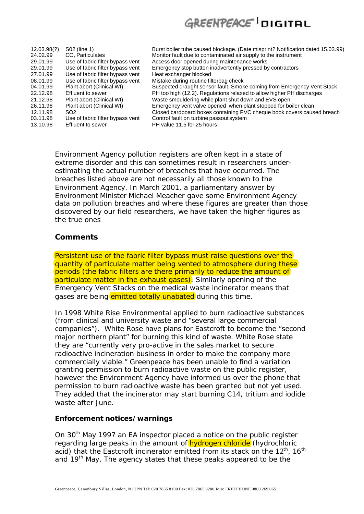| 12.03.98(?) | S02 (line 1)                     | Burst boiler tube caused blockage. (Date misprint? Notification dated 15.03.99) |
|-------------|----------------------------------|---------------------------------------------------------------------------------|
| 24.02.99    | CO, Particulates                 | Monitor fault due to contaminated air supply to the instrument                  |
| 29.01.99    | Use of fabric filter bypass vent | Access door opened during maintenance works                                     |
| 29.01.99    | Use of fabric filter bypass vent | Emergency stop button inadvertently pressed by contractors                      |
| 27.01.99    | Use of fabric filter bypass vent | Heat exchanger blocked                                                          |
| 08.01.99    | Use of fabric filter bypass vent | Mistake during routine filterbag check                                          |
| 04.01.99    | Plant abort (Clinical WI)        | Suspected draught sensor fault. Smoke coming from Emergency Vent Stack          |
| 22.12.98    | Effluent to sewer                | PH too high (12.2). Regulations relaxed to allow higher PH discharges           |
| 21.12.98    | Plant abort (Clinical WI)        | Waste smouldering while plant shut down and EVS open                            |
| 26.11.98    | Plant abort (Clinical WI)        | Emergency vent valve opened when plant stopped for boiler clean                 |
| 12.11.98    | SO <sub>2</sub>                  | Closed cardboard boxes containing PVC cheque book covers caused breach          |
| 03.11.98    | Use of fabric filter bypass vent | Control fault on turbine passout system                                         |
| 13.10.98    | <b>Effluent to sewer</b>         | PH value 11.5 for 25 hours                                                      |

Environment Agency pollution registers are often kept in a state of extreme disorder and this can sometimes result in researchers underestimating the actual number of breaches that have occurred. The breaches listed above are not necessarily all those known to the Environment Agency. In March 2001, a parliamentary answer by Environment Minister Michael Meacher gave some Environment Agency data on pollution breaches and where these figures are greater than those discovered by our field researchers, we have taken the higher figures as the true ones

### **Comments**

Persistent use of the fabric filter bypass must raise questions over the quantity of particulate matter being vented to atmosphere during these periods (the fabric filters are there primarily to reduce the amount of particulate matter in the exhaust gases). Similarly opening of the Emergency Vent Stacks on the medical waste incinerator means that gases are being emitted totally unabated during this time.

In 1998 White Rise Environmental applied to burn radioactive substances (from clinical and university waste and "several large commercial companies"). White Rose have plans for Eastcroft to become the "second major northern plant" for burning this kind of waste. White Rose state they are "currently very pro-active in the sales market to secure radioactive incineration business in order to make the company more commercially viable." Greenpeace has been unable to find a variation granting permission to burn radioactive waste on the public register, however the Environment Agency have informed us over the phone that permission to burn radioactive waste has been granted but not yet used. They added that the incinerator may start burning C14, tritium and iodide waste after June.

#### **Enforcement notices/warnings**

On 30<sup>th</sup> May 1997 an EA inspector placed a notice on the public register regarding large peaks in the amount of **hydrogen chloride** (hydrochloric acid) that the Eastcroft incinerator emitted from its stack on the 12<sup>th</sup>, 16<sup>th</sup> and 19<sup>th</sup> May. The agency states that these peaks appeared to be the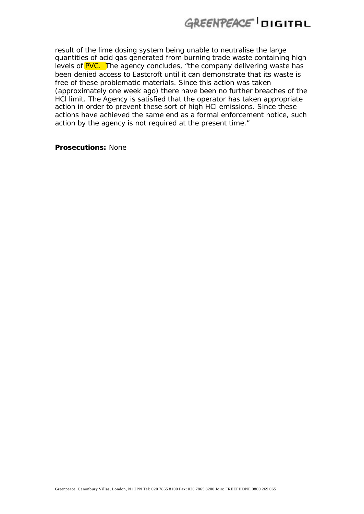result of the lime dosing system being unable to neutralise the large quantities of acid gas generated from burning trade waste containing high levels of **PVC.** The agency concludes, "the company delivering waste has been denied access to Eastcroft until it can demonstrate that its waste is free of these problematic materials. Since this action was taken (approximately one week ago) there have been no further breaches of the HCl limit. The Agency is satisfied that the operator has taken appropriate action in order to prevent these sort of high HCl emissions. Since these actions have achieved the same end as a formal enforcement notice, such action by the agency is not required at the present time."

**Prosecutions:** None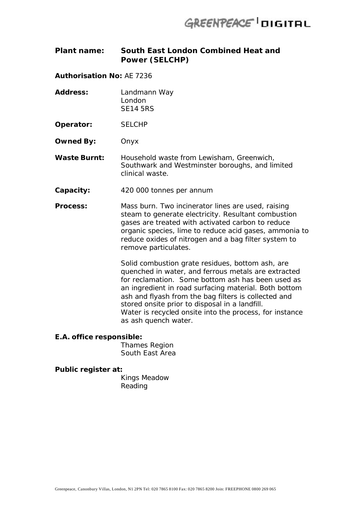### **Plant name: South East London Combined Heat and Power (SELCHP)**

**Authorisation No:** AE 7236

**Address:** Landmann Way London SE14 5RS

**Operator:** SELCHP

**Owned By:** Onyx

**Waste Burnt:** Household waste from Lewisham, Greenwich, Southwark and Westminster boroughs, and limited clinical waste.

- **Capacity:** 420 000 tonnes per annum
- **Process:** Mass burn. Two incinerator lines are used, raising steam to generate electricity. Resultant combustion gases are treated with activated carbon to reduce organic species, lime to reduce acid gases, ammonia to reduce oxides of nitrogen and a bag filter system to remove particulates.

Solid combustion grate residues, bottom ash, are quenched in water, and ferrous metals are extracted for reclamation. Some bottom ash has been used as an ingredient in road surfacing material. Both bottom ash and flyash from the bag filters is collected and stored onsite prior to disposal in a landfill. Water is recycled onsite into the process, for instance as ash quench water.

#### **E.A. office responsible:**

Thames Region South East Area

#### **Public register at:**

Kings Meadow Reading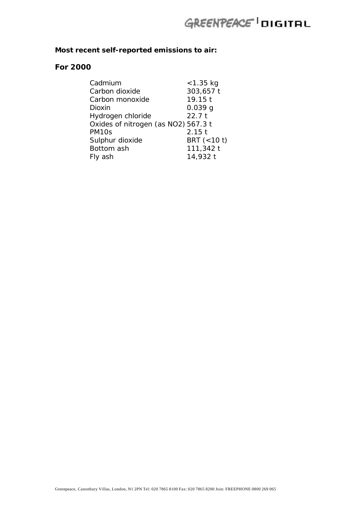### **Most recent self-reported emissions to air:**

### **For 2000**

| Cadmium                             | < 1.35 kg      |
|-------------------------------------|----------------|
| Carbon dioxide                      | 303,657 t      |
| Carbon monoxide                     | 19.15t         |
| Dioxin                              | 0.039q         |
| Hydrogen chloride                   | 22.7t          |
| Oxides of nitrogen (as NO2) 567.3 t |                |
| PM <sub>10s</sub>                   | $2.15$ t       |
| Sulphur dioxide                     | BRT $(< 10 t)$ |
| Bottom ash                          | 111,342 t      |
| Fly ash                             | 14,932 t       |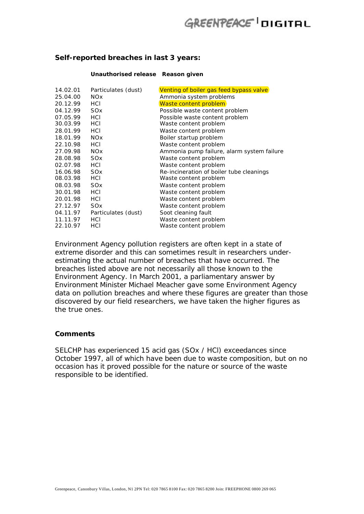#### **Self-reported breaches in last 3 years:**

#### **Unauthorised release Reason given**

| 14.02.01 | Particulates (dust)   | Venting of boiler gas feed bypass valve    |
|----------|-----------------------|--------------------------------------------|
| 25.04.00 | <b>NO<sub>x</sub></b> | Ammonia system problems                    |
| 20.12.99 | HCI                   | Waste content problem                      |
| 04.12.99 | SO <sub>x</sub>       | Possible waste content problem             |
| 07.05.99 | HCI                   | Possible waste content problem             |
| 30.03.99 | HCI                   | Waste content problem                      |
| 28.01.99 | HCI                   | Waste content problem                      |
| 18.01.99 | <b>NO<sub>x</sub></b> | Boiler startup problem                     |
| 22.10.98 | HCI                   | Waste content problem                      |
| 27.09.98 | <b>NO<sub>x</sub></b> | Ammonia pump failure, alarm system failure |
| 28.08.98 | SO <sub>x</sub>       | Waste content problem                      |
| 02.07.98 | HCI                   | Waste content problem                      |
| 16.06.98 | SO <sub>x</sub>       | Re-incineration of boiler tube cleanings   |
| 08.03.98 | HCI                   | Waste content problem                      |
| 08.03.98 | SO <sub>x</sub>       | Waste content problem                      |
| 30.01.98 | HCI                   | Waste content problem                      |
| 20.01.98 | HCI                   | Waste content problem                      |
| 27.12.97 | SO <sub>x</sub>       | Waste content problem                      |
| 04.11.97 | Particulates (dust)   | Soot cleaning fault                        |
| 11.11.97 | HCI                   | Waste content problem                      |
| 22.10.97 | HCI                   | Waste content problem                      |

Environment Agency pollution registers are often kept in a state of extreme disorder and this can sometimes result in researchers underestimating the actual number of breaches that have occurred. The breaches listed above are not necessarily all those known to the Environment Agency. In March 2001, a parliamentary answer by Environment Minister Michael Meacher gave some Environment Agency data on pollution breaches and where these figures are greater than those discovered by our field researchers, we have taken the higher figures as the true ones.

#### **Comments**

SELCHP has experienced 15 acid gas (SOx / HCl) exceedances since October 1997, all of which have been due to waste composition, but on no occasion has it proved possible for the nature or source of the waste responsible to be identified.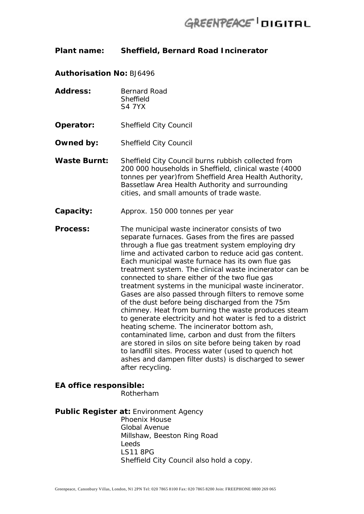### **Plant name: Sheffield, Bernard Road Incinerator**

**Authorisation No:** BJ6496

- Address: Bernard Road **Sheffield** S4 7YX
- **Operator:** Sheffield City Council
- **Owned by:** Sheffield City Council
- **Waste Burnt:** Sheffield City Council burns rubbish collected from 200 000 households in Sheffield, clinical waste (4000 tonnes per year)from Sheffield Area Health Authority, Bassetlaw Area Health Authority and surrounding cities, and small amounts of trade waste.
- **Capacity:** Approx. 150 000 tonnes per year

**Process:** The municipal waste incinerator consists of two separate furnaces. Gases from the fires are passed through a flue gas treatment system employing dry lime and activated carbon to reduce acid gas content. Each municipal waste furnace has its own flue gas treatment system. The clinical waste incinerator can be connected to share either of the two flue gas treatment systems in the municipal waste incinerator. Gases are also passed through filters to remove some of the dust before being discharged from the 75m chimney. Heat from burning the waste produces steam to generate electricity and hot water is fed to a district heating scheme. The incinerator bottom ash, contaminated lime, carbon and dust from the filters are stored in silos on site before being taken by road to landfill sites. Process water (used to quench hot ashes and dampen filter dusts) is discharged to sewer after recycling.

## **EA office responsible:** Rotherham

**Public Register at:** Environment Agency Phoenix House Global Avenue Millshaw, Beeston Ring Road Leeds LS11 8PG Sheffield City Council also hold a copy.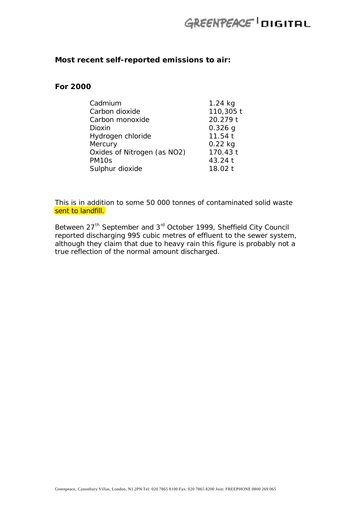### **Most recent self-reported emissions to air:**

### **For 2000**

| Cadmium                     | $1.24$ kg |
|-----------------------------|-----------|
| Carbon dioxide              | 110,305 t |
| Carbon monoxide             | 20.279 t  |
| <b>Dioxin</b>               | $0.326$ g |
| Hydrogen chloride           | 11.54t    |
| Mercury                     | $0.22$ kg |
| Oxides of Nitrogen (as NO2) | 170.43 t  |
| PM <sub>10s</sub>           | 43.24 t   |
| Sulphur dioxide             | 18.02 t   |

This is in addition to some 50 000 tonnes of contaminated solid waste sent to landfill.

Between 27<sup>th</sup> September and 3<sup>rd</sup> October 1999, Sheffield City Council reported discharging 995 cubic metres of effluent to the sewer system, although they claim that due to heavy rain this figure is probably not a true reflection of the normal amount discharged.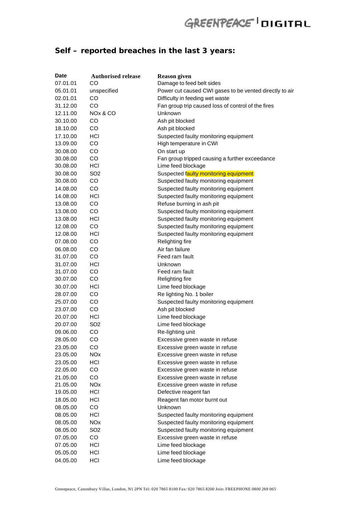## **Self – reported breaches in the last 3 years:**

| Date     | <b>Authorised release</b> | <b>Reason given</b>                                     |
|----------|---------------------------|---------------------------------------------------------|
| 07.01.01 | CO                        | Damage to feed belt sides                               |
| 05.01.01 | unspecified               | Power cut caused CWI gases to be vented directly to air |
| 02.01.01 | CO                        | Difficulty in feeding wet waste                         |
| 31.12.00 | CO                        | Fan group trip caused loss of control of the fires      |
| 12.11.00 | NOx & CO                  | Unknown                                                 |
| 30.10.00 | CO                        | Ash pit blocked                                         |
| 18.10.00 | CO                        | Ash pit blocked                                         |
| 17.10.00 | <b>HCI</b>                | Suspected faulty monitoring equipment                   |
| 13.09.00 | CO                        | High temperature in CWI                                 |
| 30.08.00 | CO                        | On start up                                             |
| 30.08.00 | CO                        | Fan group tripped causing a further exceedance          |
| 30.08.00 | HCI                       | Lime feed blockage                                      |
| 30.08.00 | SO <sub>2</sub>           | Suspected faulty monitoring equipment                   |
| 30.08.00 | CO                        | Suspected faulty monitoring equipment                   |
| 14.08.00 | CO                        | Suspected faulty monitoring equipment                   |
| 14.08.00 | HCI                       | Suspected faulty monitoring equipment                   |
| 13.08.00 | CO                        | Refuse burning in ash pit                               |
| 13.08.00 | CO                        | Suspected faulty monitoring equipment                   |
| 13.08.00 | HCI                       | Suspected faulty monitoring equipment                   |
| 12.08.00 | CO                        | Suspected faulty monitoring equipment                   |
| 12.08.00 | HCI                       | Suspected faulty monitoring equipment                   |
| 07.08.00 | CO                        | Relighting fire                                         |
| 06.08.00 | CO                        | Air fan failure                                         |
| 31.07.00 | CO                        | Feed ram fault                                          |
| 31.07.00 | HCI                       | Unknown                                                 |
| 31.07.00 | CO                        | Feed ram fault                                          |
| 30.07.00 | CO                        | Relighting fire                                         |
| 30.07.00 | HCI                       | Lime feed blockage                                      |
| 28.07.00 | CO                        | Re lighting No. 1 boiler                                |
| 25.07.00 | CO                        | Suspected faulty monitoring equipment                   |
| 23.07.00 | CO                        | Ash pit blocked                                         |
| 20.07.00 | HCI                       | Lime feed blockage                                      |
| 20.07.00 | SO <sub>2</sub>           | Lime feed blockage                                      |
| 09.06.00 | CO                        | Re-lighting unit                                        |
| 28.05.00 | CO                        | Excessive green waste in refuse                         |
| 23.05.00 | CO                        | Excessive green waste in refuse                         |
| 23.05.00 | <b>NO<sub>x</sub></b>     | Excessive green waste in refuse                         |
| 23.05.00 | HCI                       | Excessive green waste in refuse                         |
| 22.05.00 | CO                        | Excessive green waste in refuse                         |
| 21.05.00 | CO                        | Excessive green waste in refuse                         |
| 21.05.00 | <b>NO<sub>x</sub></b>     | Excessive green waste in refuse                         |
| 19.05.00 | HCI                       | Defective reagent fan                                   |
| 18.05.00 | HCI                       | Reagent fan motor burnt out                             |
| 08.05.00 | CO                        | Unknown                                                 |
| 08.05.00 | <b>HCI</b>                | Suspected faulty monitoring equipment                   |
| 08.05.00 | <b>NO<sub>x</sub></b>     | Suspected faulty monitoring equipment                   |
| 08.05.00 | SO <sub>2</sub>           | Suspected faulty monitoring equipment                   |
| 07.05.00 | CO                        | Excessive green waste in refuse                         |
| 07.05.00 | HCI                       | Lime feed blockage                                      |
| 05.05.00 | HCI                       | Lime feed blockage                                      |
| 04.05.00 | HCI                       | Lime feed blockage                                      |
|          |                           |                                                         |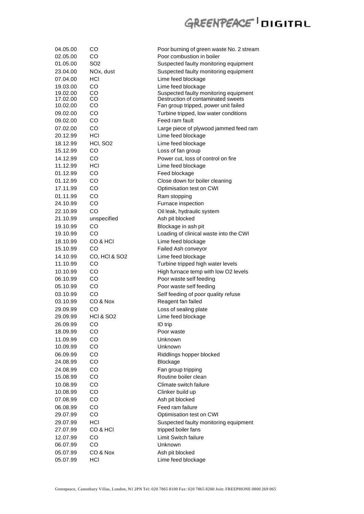| 04.05.00 | CO                   | Poor burning of green waste No. 2 stream |
|----------|----------------------|------------------------------------------|
| 02.05.00 | CO                   | Poor combustion in boiler                |
| 01.05.00 | SO2                  | Suspected faulty monitoring equipment    |
| 23.04.00 | NOx, dust            | Suspected faulty monitoring equipment    |
| 07.04.00 | HCI                  | Lime feed blockage                       |
| 19.03.00 | CO                   | Lime feed blockage                       |
| 19.02.00 | CO                   | Suspected faulty monitoring equipment    |
| 17.02.00 | CO                   | Destruction of contaminated sweets       |
| 10.02.00 | CO                   | Fan group tripped, power unit failed     |
| 09.02.00 | CO                   | Turbine tripped, low water conditions    |
| 09.02.00 | CO                   | Feed ram fault                           |
| 07.02.00 | CO                   | Large piece of plywood jammed feed ram   |
| 20.12.99 | <b>HCI</b>           | Lime feed blockage                       |
| 18.12.99 | HCI, SO <sub>2</sub> | Lime feed blockage                       |
| 15.12.99 | CO                   | Loss of fan group                        |
| 14.12.99 | CO                   | Power cut, loss of control on fire       |
| 11.12.99 | <b>HCI</b>           | Lime feed blockage                       |
| 01.12.99 | CO                   | Feed blockage                            |
| 01.12.99 | CO                   | Close down for boiler cleaning           |
| 17.11.99 | CO                   | Optimisation test on CWI                 |
| 01.11.99 | CO                   | Ram stopping                             |
| 24.10.99 | CO                   | Furnace inspection                       |
| 22.10.99 | CO                   | Oil leak, hydraulic system               |
| 21.10.99 | unspecified          | Ash pit blocked                          |
| 19.10.99 | CO                   | Blockage in ash pit                      |
| 19.10.99 | CO                   | Loading of clinical waste into the CWI   |
| 18.10.99 | CO & HCI             | Lime feed blockage                       |
| 15.10.99 | CO                   | Failed Ash conveyor                      |
| 14.10.99 | CO, HCI & SO2        | Lime feed blockage                       |
| 11.10.99 | CO                   | Turbine tripped high water levels        |
| 10.10.99 | CO                   | High furnace temp with low O2 levels     |
| 06.10.99 | CO                   | Poor waste self feeding                  |
| 05.10.99 | CO                   | Poor waste self feeding                  |
|          |                      | Self feeding of poor quality refuse      |
| 03.10.99 | CO                   |                                          |
| 03.10.99 | CO & Nox             | Reagent fan failed                       |
| 29.09.99 | CO                   | Loss of sealing plate                    |
| 29.09.99 | <b>HCI &amp; SO2</b> | Lime feed blockage                       |
| 26.09.99 | CO                   | ID trip                                  |
| 18.09.99 | CO                   | Poor waste                               |
| 11.09.99 | CO                   | Unknown                                  |
| 10.09.99 | CO                   | Unknown                                  |
| 06.09.99 | CO                   | Riddlings hopper blocked                 |
| 24.08.99 | CO                   | Blockage                                 |
| 24.08.99 | CO                   | Fan group tripping                       |
| 15.08.99 | CO                   | Routine boiler clean                     |
| 10.08.99 | CO                   | Climate switch failure                   |
| 10.08.99 | CO                   | Clinker build up                         |
| 07.08.99 | CO                   | Ash pit blocked                          |
| 06.08.99 | CO                   | Feed ram failure                         |
| 29.07.99 | CO                   | Optimisation test on CWI                 |
| 29.07.99 | <b>HCI</b>           | Suspected faulty monitoring equipment    |
| 27.07.99 | CO & HCI             | tripped boiler fans                      |
| 12.07.99 | CO                   | Limit Switch failure                     |
| 06.07.99 | CO                   | Unknown                                  |
| 05.07.99 | CO & Nox             | Ash pit blocked                          |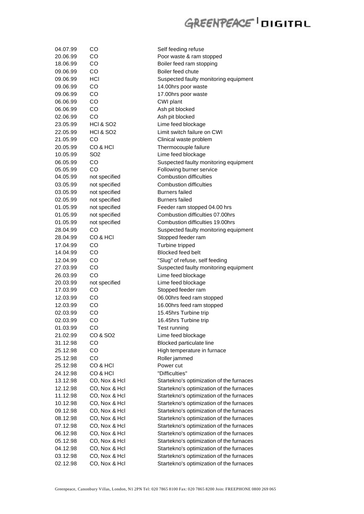| 04.07.99<br>20.06.99 | CO<br>CO             | Self feeding refuse<br>Poor waste & ram stopped |
|----------------------|----------------------|-------------------------------------------------|
| 18.06.99             | CO                   | Boiler feed ram stopping                        |
| 09.06.99             | CO                   | Boiler feed chute                               |
| 09.06.99             | HCI                  | Suspected faulty monitoring equipment           |
| 09.06.99             | CO                   | 14.00hrs poor waste                             |
| 09.06.99             | CO                   | 17.00hrs poor waste                             |
| 06.06.99             | CO                   | CWI plant                                       |
| 06.06.99             | CO                   | Ash pit blocked                                 |
| 02.06.99             | CO                   | Ash pit blocked                                 |
| 23.05.99             | <b>HCI &amp; SO2</b> | Lime feed blockage                              |
| 22.05.99             | <b>HCI &amp; SO2</b> | Limit switch failure on CWI                     |
| 21.05.99             | CO                   | Clinical waste problem                          |
| 20.05.99             | CO & HCI             | Thermocouple failure                            |
| 10.05.99             | SO <sub>2</sub>      | Lime feed blockage                              |
| 06.05.99             | CO                   | Suspected faulty monitoring equipment           |
| 05.05.99             | CO                   | Following burner service                        |
| 04.05.99             | not specified        | <b>Combustion difficulties</b>                  |
| 03.05.99             | not specified        | Combustion difficulties                         |
| 03.05.99             | not specified        | <b>Burners</b> failed                           |
| 02.05.99             | not specified        | <b>Burners failed</b>                           |
| 01.05.99             | not specified        | Feeder ram stopped 04.00 hrs                    |
| 01.05.99             | not specified        | Combustion difficulties 07,00hrs                |
| 01.05.99             | not specified        | Combustion difficulties 19.00hrs                |
| 28.04.99             | CO                   | Suspected faulty monitoring equipment           |
| 28.04.99             | CO & HCI             | Stopped feeder ram                              |
| 17.04.99             | CO                   | Turbine tripped                                 |
| 14.04.99             | CO                   | <b>Blocked feed belt</b>                        |
| 12.04.99             | CO                   | "Slug" of refuse, self feeding                  |
| 27.03.99             | CO                   | Suspected faulty monitoring equipment           |
| 26.03.99             | CO                   | Lime feed blockage                              |
| 20.03.99             | not specified        | Lime feed blockage                              |
| 17.03.99             | CO                   | Stopped feeder ram                              |
| 12.03.99             | CO                   | 06.00hrs feed ram stopped                       |
| 12.03.99             | CO                   | 16.00hrs feed ram stopped                       |
| 02.03.99             | CO                   | 15.45hrs Turbine trip                           |
| 02.03.99             | CO                   | 16.45hrs Turbine trip                           |
| 01.03.99             | CO                   | Test running                                    |
| 21.02.99             | CO & SO <sub>2</sub> | Lime feed blockage                              |
| 31.12.98             | CO                   | Blocked particulate line                        |
| 25.12.98             | CO                   | High temperature in furnace                     |
| 25.12.98             | CO                   | Roller jammed                                   |
| 25.12.98             | CO & HCI             | Power cut                                       |
| 24.12.98             | CO & HCI             | "Difficulties"                                  |
| 13.12.98             | CO, Nox & Hcl        | Startekno's optimization of the furnaces        |
| 12.12.98             | CO, Nox & Hcl        | Startekno's optimization of the furnaces        |
| 11.12.98             | CO, Nox & Hcl        | Startekno's optimization of the furnaces        |
| 10.12.98             | CO, Nox & Hcl        | Startekno's optimization of the furnaces        |
| 09.12.98             | CO, Nox & Hcl        | Startekno's optimization of the furnaces        |
| 08.12.98             | CO, Nox & Hcl        | Startekno's optimization of the furnaces        |
| 07.12.98             | CO, Nox & Hcl        | Startekno's optimization of the furnaces        |
| 06.12.98             | CO, Nox & Hcl        | Startekno's optimization of the furnaces        |
| 05.12.98             | CO, Nox & Hcl        | Startekno's optimization of the furnaces        |
| 04.12.98             | CO, Nox & Hcl        | Startekno's optimization of the furnaces        |
| 03.12.98             | CO, Nox & Hcl        | Startekno's optimization of the furnaces        |
| 02.12.98             | CO, Nox & Hcl        | Startekno's optimization of the furnaces        |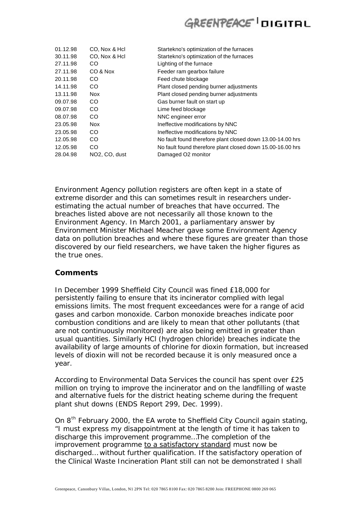| 01.12.98 | CO, Nox & Hcl              | Startekno's optimization of the furnaces                   |
|----------|----------------------------|------------------------------------------------------------|
| 30.11.98 | CO, Nox & Hcl              | Startekno's optimization of the furnaces                   |
| 27.11.98 | CO                         | Lighting of the furnace                                    |
| 27.11.98 | CO & Nox                   | Feeder ram gearbox failure                                 |
| 20.11.98 | CO                         | Feed chute blockage                                        |
| 14.11.98 | CO.                        | Plant closed pending burner adjustments                    |
| 13.11.98 | <b>Nox</b>                 | Plant closed pending burner adjustments                    |
| 09.07.98 | CO.                        | Gas burner fault on start up                               |
| 09.07.98 | CO.                        | Lime feed blockage                                         |
| 08.07.98 | CO.                        | NNC engineer error                                         |
| 23.05.98 | <b>Nox</b>                 | Ineffective modifications by NNC                           |
| 23.05.98 | CO.                        | Ineffective modifications by NNC                           |
| 12.05.98 | CO                         | No fault found therefore plant closed down 13.00-14.00 hrs |
| 12.05.98 | CO.                        | No fault found therefore plant closed down 15.00-16.00 hrs |
| 28.04.98 | NO <sub>2</sub> , CO, dust | Damaged O2 monitor                                         |

Environment Agency pollution registers are often kept in a state of extreme disorder and this can sometimes result in researchers underestimating the actual number of breaches that have occurred. The breaches listed above are not necessarily all those known to the Environment Agency. In March 2001, a parliamentary answer by Environment Minister Michael Meacher gave some Environment Agency data on pollution breaches and where these figures are greater than those discovered by our field researchers, we have taken the higher figures as the true ones.

### **Comments**

In December 1999 Sheffield City Council was fined £18,000 for persistently failing to ensure that its incinerator complied with legal emissions limits. The most frequent exceedances were for a range of acid gases and carbon monoxide. Carbon monoxide breaches indicate poor combustion conditions and are likely to mean that other pollutants (that are not continuously monitored) are also being emitted in greater than usual quantities. Similarly HCl (hydrogen chloride) breaches indicate the availability of large amounts of chlorine for dioxin formation, but increased levels of dioxin will not be recorded because it is only measured once a year.

According to Environmental Data Services the council has spent over £25 million on trying to improve the incinerator and on the landfilling of waste and alternative fuels for the district heating scheme during the frequent plant shut downs (ENDS Report 299, Dec. 1999).

On 8<sup>th</sup> February 2000, the EA wrote to Sheffield City Council again stating, "I must express my disappointment at the length of time it has taken to discharge this improvement programme…The completion of the improvement programme to a satisfactory standard must now be discharged… without further qualification. If the satisfactory operation of the Clinical Waste Incineration Plant still can not be demonstrated I shall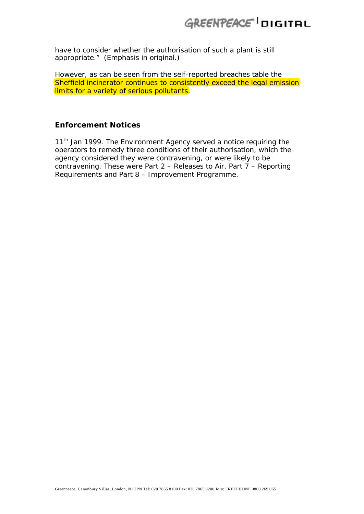have to consider whether the authorisation of such a plant is still appropriate." (Emphasis in original.)

However, as can be seen from the self-reported breaches table the Sheffield incinerator continues to consistently exceed the legal emission limits for a variety of serious pollutants.

### **Enforcement Notices**

11<sup>th</sup> Jan 1999. The Environment Agency served a notice requiring the operators to remedy three conditions of their authorisation, which the agency considered they were contravening, or were likely to be contravening. These were Part 2 – Releases to Air, Part 7 – Reporting Requirements and Part 8 – Improvement Programme.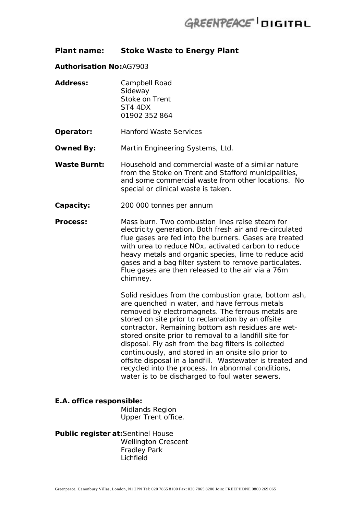### **Plant name: Stoke Waste to Energy Plant**

#### **Authorisation No:**AG7903

- **Address:** Campbell Road Sideway Stoke on Trent ST4 4DX 01902 352 864
- **Operator:** Hanford Waste Services
- **Owned By:** Martin Engineering Systems, Ltd.
- **Waste Burnt:** Household and commercial waste of a similar nature from the Stoke on Trent and Stafford municipalities, and some commercial waste from other locations. No special or clinical waste is taken.
- **Capacity:** 200 000 tonnes per annum
- **Process:** Mass burn. Two combustion lines raise steam for electricity generation. Both fresh air and re-circulated flue gases are fed into the burners. Gases are treated with urea to reduce NOx, activated carbon to reduce heavy metals and organic species, lime to reduce acid gases and a bag filter system to remove particulates. Flue gases are then released to the air via a 76m chimney.

Solid residues from the combustion grate, bottom ash, are quenched in water, and have ferrous metals removed by electromagnets. The ferrous metals are stored on site prior to reclamation by an offsite contractor. Remaining bottom ash residues are wetstored onsite prior to removal to a landfill site for disposal. Fly ash from the bag filters is collected continuously, and stored in an onsite silo prior to offsite disposal in a landfill. Wastewater is treated and recycled into the process. In abnormal conditions, water is to be discharged to foul water sewers.

#### **E.A. office responsible:**

Midlands Region Upper Trent office.

**Public register at:**Sentinel House Wellington Crescent Fradley Park Lichfield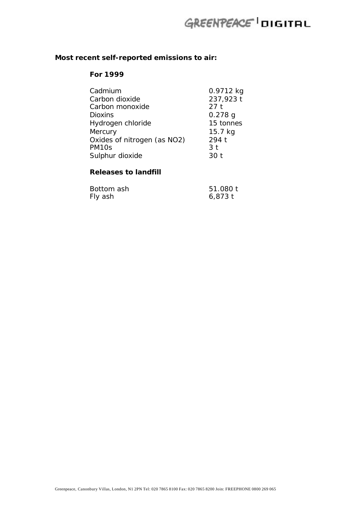## **Most recent self-reported emissions to air:**

#### **For 1999**

| Cadmium                     | 0.9712 kg      |
|-----------------------------|----------------|
| Carbon dioxide              | 237,923 t      |
| Carbon monoxide             | 27t            |
| <b>Dioxins</b>              | $0.278$ g      |
| Hydrogen chloride           | 15 tonnes      |
| Mercury                     | 15.7 kg        |
| Oxides of nitrogen (as NO2) | 294 t          |
| PM <sub>10s</sub>           | 3 <sub>t</sub> |
| Sulphur dioxide             | 30 t           |
|                             |                |

### **Releases to landfill**

| Bottom ash | 51.080 t  |
|------------|-----------|
| Fly ash    | $6,873$ t |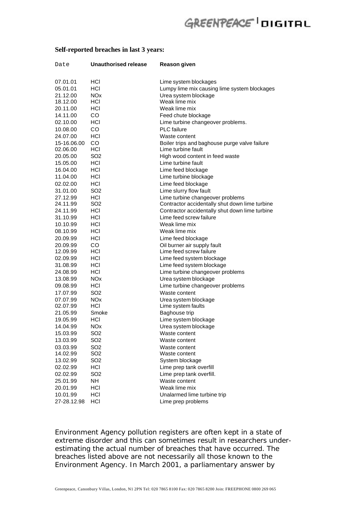#### **Self-reported breaches in last 3 years:**

| Date        | <b>Unauthorised release</b> | Reason given                                   |
|-------------|-----------------------------|------------------------------------------------|
| 07.01.01    | HCI                         | Lime system blockages                          |
| 05.01.01    | <b>HCI</b>                  | Lumpy lime mix causing lime system blockages   |
| 21.12.00    | <b>NOx</b>                  | Urea system blockage                           |
| 18.12.00    | <b>HCI</b>                  | Weak lime mix                                  |
| 20.11.00    | HCI                         | Weak lime mix                                  |
| 14.11.00    | CO.                         | Feed chute blockage                            |
| 02.10.00    | HCI                         | Lime turbine changeover problems.              |
| 10.08.00    | CO.                         | <b>PLC</b> failure                             |
| 24.07.00    | HCI                         | Waste content                                  |
| 15-16.06.00 | <b>CO</b>                   | Boiler trips and baghouse purge valve failure  |
| 02.06.00    | HCI                         | Lime turbine fault                             |
| 20.05.00    | SO <sub>2</sub>             | High wood content in feed waste                |
| 15.05.00    | HCI                         | Lime turbine fault                             |
| 16.04.00    | HCI                         | Lime feed blockage                             |
| 11.04.00    | HCI                         | Lime turbine blockage                          |
| 02.02.00    | <b>HCI</b>                  | Lime feed blockage                             |
| 31.01.00    | SO <sub>2</sub>             | Lime slurry flow fault                         |
| 27.12.99    | HCI                         | Lime turbine changeover problems               |
| 24.11.99    | SO <sub>2</sub>             | Contractor accidentally shut down lime turbine |
| 24.11.99    | HCI                         | Contractor accidentally shut down lime turbine |
| 31.10.99    | HCI                         | Lime feed screw failure                        |
| 10.10.99    | HCI                         | Weak lime mix                                  |
| 08.10.99    | HCI                         | Weak lime mix                                  |
| 20.09.99    | <b>HCI</b>                  | Lime feed blockage                             |
| 20.09.99    | CO.                         | Oil burner air supply fault                    |
| 12.09.99    | HCI                         | Lime feed screw failure                        |
| 02.09.99    | HCI                         | Lime feed system blockage                      |
| 31.08.99    | HCI                         | Lime feed system blockage                      |
| 24.08.99    | HCI                         | Lime turbine changeover problems               |
| 13.08.99    | <b>NOx</b>                  | Urea system blockage                           |
| 09.08.99    | HCI                         | Lime turbine changeover problems               |
| 17.07.99    | SO <sub>2</sub>             | Waste content                                  |
| 07.07.99    | <b>NO<sub>x</sub></b>       | Urea system blockage                           |
| 02.07.99    | HCI                         | Lime system faults                             |
| 21.05.99    | Smoke                       | Baghouse trip                                  |
| 19.05.99    | HCI                         | Lime system blockage                           |
| 14.04.99    | <b>NO<sub>x</sub></b>       | Urea system blockage                           |
| 15.03.99    | SO <sub>2</sub>             | Waste content                                  |
| 13.03.99    | SO <sub>2</sub>             | Waste content                                  |
| 03.03.99    | SO <sub>2</sub>             | Waste content                                  |
| 14.02.99    | SO <sub>2</sub>             | Waste content                                  |
| 13.02.99    | SO <sub>2</sub>             | System blockage                                |
| 02.02.99    | HCI                         | Lime prep tank overfill                        |
| 02.02.99    | SO <sub>2</sub>             | Lime prep tank overfill.                       |
| 25.01.99    | NH                          | Waste content                                  |
| 20.01.99    | HCI                         | Weak lime mix                                  |
| 10.01.99    | HCI                         | Unalarmed lime turbine trip                    |
| 27-28.12.98 | HCI                         | Lime prep problems                             |

Environment Agency pollution registers are often kept in a state of extreme disorder and this can sometimes result in researchers underestimating the actual number of breaches that have occurred. The breaches listed above are not necessarily all those known to the Environment Agency. In March 2001, a parliamentary answer by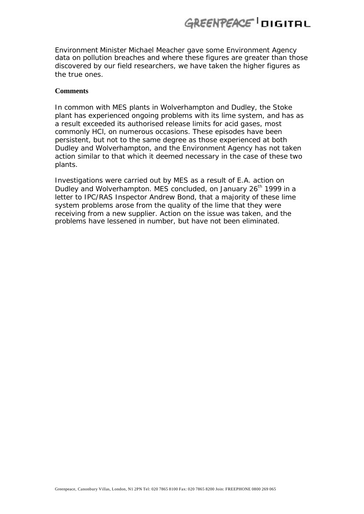Environment Minister Michael Meacher gave some Environment Agency data on pollution breaches and where these figures are greater than those discovered by our field researchers, we have taken the higher figures as the true ones.

#### **Comments**

In common with MES plants in Wolverhampton and Dudley, the Stoke plant has experienced ongoing problems with its lime system, and has as a result exceeded its authorised release limits for acid gases, most commonly HCl, on numerous occasions. These episodes have been persistent, but not to the same degree as those experienced at both Dudley and Wolverhampton, and the Environment Agency has not taken action similar to that which it deemed necessary in the case of these two plants.

Investigations were carried out by MES as a result of E.A. action on Dudley and Wolverhampton. MES concluded, on January 26<sup>th</sup> 1999 in a letter to IPC/RAS Inspector Andrew Bond, that a majority of these lime system problems arose from the quality of the lime that they were receiving from a new supplier. Action on the issue was taken, and the problems have lessened in number, but have not been eliminated.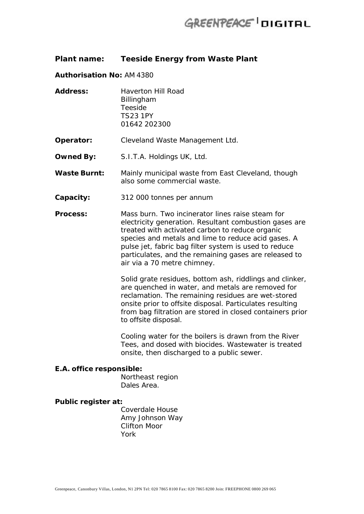### **Plant name: Teeside Energy from Waste Plant**

#### **Authorisation No:** AM 4380

**Address:** Haverton Hill Road Billingham Teeside TS23 1PY 01642 202300

**Operator:** Cleveland Waste Management Ltd.

- **Owned By:** S.I.T.A. Holdings UK, Ltd.
- **Waste Burnt:** Mainly municipal waste from East Cleveland, though also some commercial waste.
- **Capacity:** 312 000 tonnes per annum
- **Process:** Mass burn. Two incinerator lines raise steam for electricity generation. Resultant combustion gases are treated with activated carbon to reduce organic species and metals and lime to reduce acid gases. A pulse jet, fabric bag filter system is used to reduce particulates, and the remaining gases are released to air via a 70 metre chimney.

Solid grate residues, bottom ash, riddlings and clinker, are quenched in water, and metals are removed for reclamation. The remaining residues are wet-stored onsite prior to offsite disposal. Particulates resulting from bag filtration are stored in closed containers prior to offsite disposal.

Cooling water for the boilers is drawn from the River Tees, and dosed with biocides. Wastewater is treated onsite, then discharged to a public sewer.

#### **E.A. office responsible:**

Northeast region Dales Area.

#### **Public register at:**

Coverdale House Amy Johnson Way Clifton Moor York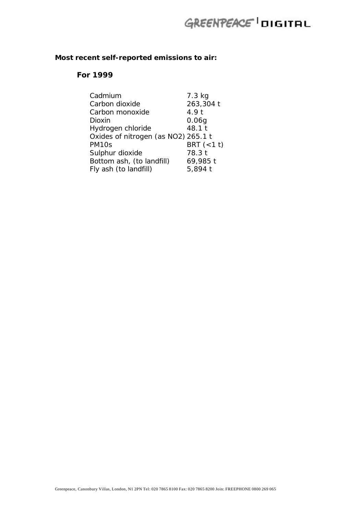## **Most recent self-reported emissions to air:**

### **For 1999**

| Cadmium                             | 7.3 kg       |
|-------------------------------------|--------------|
| Carbon dioxide                      | 263,304 t    |
| Carbon monoxide                     | 4.9t         |
| Dioxin                              | 0.06g        |
| Hydrogen chloride                   | 48.1 t       |
| Oxides of nitrogen (as NO2) 265.1 t |              |
| PM10s                               | BRT $(<1$ t) |
| Sulphur dioxide                     | 78.3 t       |
| Bottom ash, (to landfill)           | 69,985 t     |
| Fly ash (to landfill)               | 5,894 t      |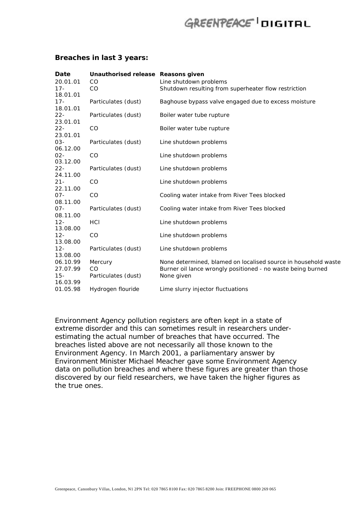#### **Breaches in last 3 years:**

| Date     | Unauthorised release Reasons given |                                                                |
|----------|------------------------------------|----------------------------------------------------------------|
| 20.01.01 | CO                                 | Line shutdown problems                                         |
| $17 -$   | CO                                 | Shutdown resulting from superheater flow restriction           |
| 18.01.01 |                                    |                                                                |
| $17 -$   | Particulates (dust)                | Baghouse bypass valve engaged due to excess moisture           |
| 18.01.01 |                                    |                                                                |
| $22 -$   | Particulates (dust)                | Boiler water tube rupture                                      |
| 23.01.01 |                                    |                                                                |
| $22 -$   | CO                                 | Boiler water tube rupture                                      |
| 23.01.01 |                                    |                                                                |
| $03 -$   | Particulates (dust)                | Line shutdown problems                                         |
| 06.12.00 |                                    |                                                                |
| $02 -$   | CO                                 | Line shutdown problems                                         |
| 03.12.00 |                                    |                                                                |
| $22 -$   | Particulates (dust)                | Line shutdown problems                                         |
| 24.11.00 |                                    |                                                                |
| $21 -$   | CO                                 | Line shutdown problems                                         |
| 22.11.00 |                                    |                                                                |
| $07 -$   | CO                                 | Cooling water intake from River Tees blocked                   |
| 08.11.00 |                                    |                                                                |
| $07 -$   | Particulates (dust)                | Cooling water intake from River Tees blocked                   |
| 08.11.00 |                                    |                                                                |
| $12 -$   | HCI                                | Line shutdown problems                                         |
| 13.08.00 |                                    |                                                                |
| $12 -$   | CO                                 | Line shutdown problems                                         |
| 13.08.00 |                                    |                                                                |
| $12 -$   | Particulates (dust)                | Line shutdown problems                                         |
| 13.08.00 |                                    |                                                                |
| 06.10.99 | Mercury                            | None determined, blamed on localised source in household waste |
| 27.07.99 | CO                                 | Burner oil lance wrongly positioned - no waste being burned    |
| $15 -$   | Particulates (dust)                | None given                                                     |
| 16.03.99 |                                    |                                                                |
| 01.05.98 | Hydrogen flouride                  | Lime slurry injector fluctuations                              |

Environment Agency pollution registers are often kept in a state of extreme disorder and this can sometimes result in researchers underestimating the actual number of breaches that have occurred. The breaches listed above are not necessarily all those known to the Environment Agency. In March 2001, a parliamentary answer by Environment Minister Michael Meacher gave some Environment Agency data on pollution breaches and where these figures are greater than those discovered by our field researchers, we have taken the higher figures as the true ones.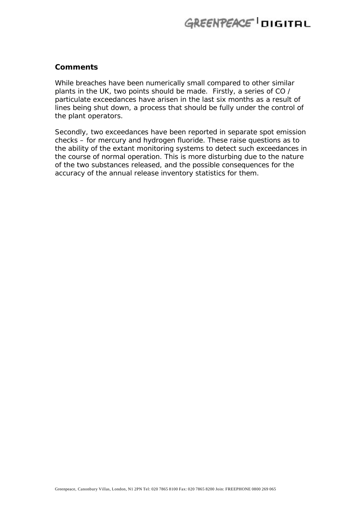### **Comments**

While breaches have been numerically small compared to other similar plants in the UK, two points should be made. Firstly, a series of CO / particulate exceedances have arisen in the last six months as a result of lines being shut down, a process that should be fully under the control of the plant operators.

Secondly, two exceedances have been reported in separate spot emission checks – for mercury and hydrogen fluoride. These raise questions as to the ability of the extant monitoring systems to detect such exceedances in the course of normal operation. This is more disturbing due to the nature of the two substances released, and the possible consequences for the accuracy of the annual release inventory statistics for them.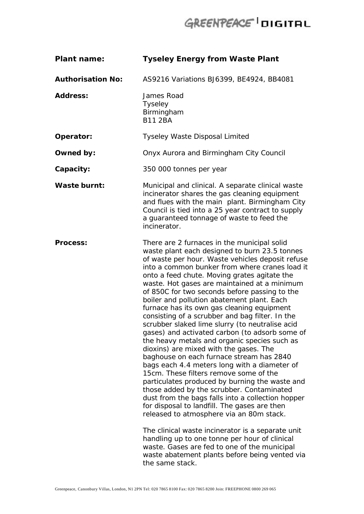| <b>Plant name:</b>       | <b>Tyseley Energy from Waste Plant</b>                                                                                                                                                                                                                                                                                                                                                                                                                                                                                                                                                                                                                                                                                                                                                                                                                                                                                                                                                                                                                                                                                                                                                                                                                                                                             |
|--------------------------|--------------------------------------------------------------------------------------------------------------------------------------------------------------------------------------------------------------------------------------------------------------------------------------------------------------------------------------------------------------------------------------------------------------------------------------------------------------------------------------------------------------------------------------------------------------------------------------------------------------------------------------------------------------------------------------------------------------------------------------------------------------------------------------------------------------------------------------------------------------------------------------------------------------------------------------------------------------------------------------------------------------------------------------------------------------------------------------------------------------------------------------------------------------------------------------------------------------------------------------------------------------------------------------------------------------------|
| <b>Authorisation No:</b> | AS9216 Variations BJ6399, BE4924, BB4081                                                                                                                                                                                                                                                                                                                                                                                                                                                                                                                                                                                                                                                                                                                                                                                                                                                                                                                                                                                                                                                                                                                                                                                                                                                                           |
| <b>Address:</b>          | James Road<br><b>Tyseley</b><br>Birmingham<br><b>B11 2BA</b>                                                                                                                                                                                                                                                                                                                                                                                                                                                                                                                                                                                                                                                                                                                                                                                                                                                                                                                                                                                                                                                                                                                                                                                                                                                       |
| Operator:                | <b>Tyseley Waste Disposal Limited</b>                                                                                                                                                                                                                                                                                                                                                                                                                                                                                                                                                                                                                                                                                                                                                                                                                                                                                                                                                                                                                                                                                                                                                                                                                                                                              |
| Owned by:                | Onyx Aurora and Birmingham City Council                                                                                                                                                                                                                                                                                                                                                                                                                                                                                                                                                                                                                                                                                                                                                                                                                                                                                                                                                                                                                                                                                                                                                                                                                                                                            |
| Capacity:                | 350 000 tonnes per year                                                                                                                                                                                                                                                                                                                                                                                                                                                                                                                                                                                                                                                                                                                                                                                                                                                                                                                                                                                                                                                                                                                                                                                                                                                                                            |
| <b>Waste burnt:</b>      | Municipal and clinical. A separate clinical waste<br>incinerator shares the gas cleaning equipment<br>and flues with the main plant. Birmingham City<br>Council is tied into a 25 year contract to supply<br>a guaranteed tonnage of waste to feed the<br>incinerator.                                                                                                                                                                                                                                                                                                                                                                                                                                                                                                                                                                                                                                                                                                                                                                                                                                                                                                                                                                                                                                             |
| <b>Process:</b>          | There are 2 furnaces in the municipal solid<br>waste plant each designed to burn 23.5 tonnes<br>of waste per hour. Waste vehicles deposit refuse<br>into a common bunker from where cranes load it<br>onto a feed chute. Moving grates agitate the<br>waste. Hot gases are maintained at a minimum<br>of 850C for two seconds before passing to the<br>boiler and pollution abatement plant. Each<br>furnace has its own gas cleaning equipment<br>consisting of a scrubber and bag filter. In the<br>scrubber slaked lime slurry (to neutralise acid<br>gases) and activated carbon (to adsorb some of<br>the heavy metals and organic species such as<br>dioxins) are mixed with the gases. The<br>baghouse on each furnace stream has 2840<br>bags each 4.4 meters long with a diameter of<br>15cm. These filters remove some of the<br>particulates produced by burning the waste and<br>those added by the scrubber. Contaminated<br>dust from the bags falls into a collection hopper<br>for disposal to landfill. The gases are then<br>released to atmosphere via an 80m stack.<br>The clinical waste incinerator is a separate unit<br>handling up to one tonne per hour of clinical<br>waste. Gases are fed to one of the municipal<br>waste abatement plants before being vented via<br>the same stack. |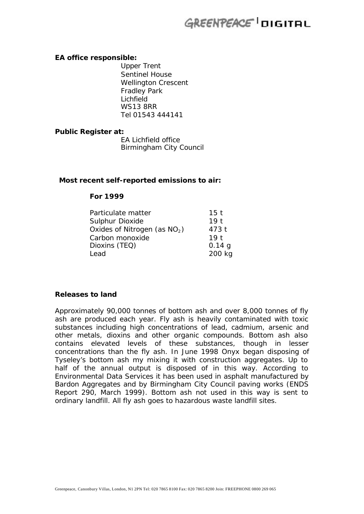#### **EA office responsible:**

Upper Trent Sentinel House Wellington Crescent Fradley Park Lichfield WS13 8RR Tel 01543 444141

### **Public Register at:**

EA Lichfield office Birmingham City Council

#### **Most recent self-reported emissions to air:**

#### **For 1999**

| Particulate matter             | 15 <sub>t</sub> |
|--------------------------------|-----------------|
| Sulphur Dioxide                | 19 <sub>t</sub> |
| Oxides of Nitrogen (as $NO2$ ) | 473 t           |
| Carbon monoxide                | 19 <sub>1</sub> |
| Dioxins (TEQ)                  | 0.14 g          |
| Lead                           | 200 kg          |

#### **Releases to land**

Approximately 90,000 tonnes of bottom ash and over 8,000 tonnes of fly ash are produced each year. Fly ash is heavily contaminated with toxic substances including high concentrations of lead, cadmium, arsenic and other metals, dioxins and other organic compounds. Bottom ash also contains elevated levels of these substances, though in lesser concentrations than the fly ash. In June 1998 Onyx began disposing of Tyseley's bottom ash my mixing it with construction aggregates. Up to half of the annual output is disposed of in this way. According to Environmental Data Services it has been used in asphalt manufactured by Bardon Aggregates and by Birmingham City Council paving works (ENDS Report 290, March 1999). Bottom ash not used in this way is sent to ordinary landfill. All fly ash goes to hazardous waste landfill sites.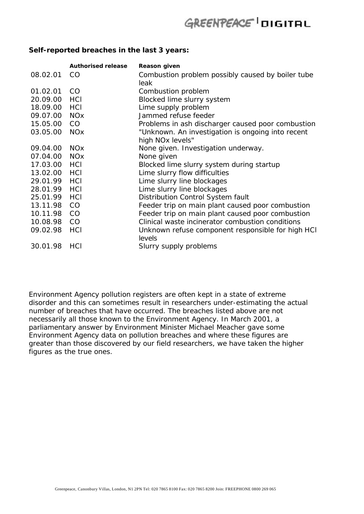### **Self-reported breaches in the last 3 years:**

|              | <b>Authorised release</b> | <b>Reason given</b>                               |
|--------------|---------------------------|---------------------------------------------------|
| 08.02.01     | CO.                       | Combustion problem possibly caused by boiler tube |
|              |                           | <b>leak</b>                                       |
| 01.02.01     | <sub>CO</sub>             | Combustion problem                                |
| 20.09.00     | HCI                       | Blocked lime slurry system                        |
| 18.09.00 HCI |                           | Lime supply problem                               |
| 09.07.00 NOx |                           | Jammed refuse feeder                              |
| 15.05.00     | <sub>CO</sub>             | Problems in ash discharger caused poor combustion |
| 03.05.00     | <b>NO<sub>x</sub></b>     | "Unknown. An investigation is ongoing into recent |
|              |                           | high NO <sub>x</sub> levels"                      |
| 09.04.00     | <b>NOx</b>                | None given. Investigation underway.               |
| 07.04.00     | <b>NO<sub>x</sub></b>     | None given                                        |
| 17.03.00 HCI |                           | Blocked lime slurry system during startup         |
| 13.02.00 HCI |                           | Lime slurry flow difficulties                     |
| 29.01.99     | <b>HCI</b>                | Lime slurry line blockages                        |
| 28.01.99     | <b>HCI</b>                | Lime slurry line blockages                        |
| 25.01.99     | HCI                       | Distribution Control System fault                 |
| 13.11.98     | <sub>CO</sub>             | Feeder trip on main plant caused poor combustion  |
| 10.11.98     | <sub>CO</sub>             | Feeder trip on main plant caused poor combustion  |
| 10.08.98     | <sub>CO</sub>             | Clinical waste incinerator combustion conditions  |
| 09.02.98     | HCI                       | Unknown refuse component responsible for high HCI |
|              |                           | levels                                            |
| 30.01.98     | HCI                       | Slurry supply problems                            |

Environment Agency pollution registers are often kept in a state of extreme disorder and this can sometimes result in researchers under-estimating the actual number of breaches that have occurred. The breaches listed above are not necessarily all those known to the Environment Agency. In March 2001, a parliamentary answer by Environment Minister Michael Meacher gave some Environment Agency data on pollution breaches and where these figures are greater than those discovered by our field researchers, we have taken the higher figures as the true ones.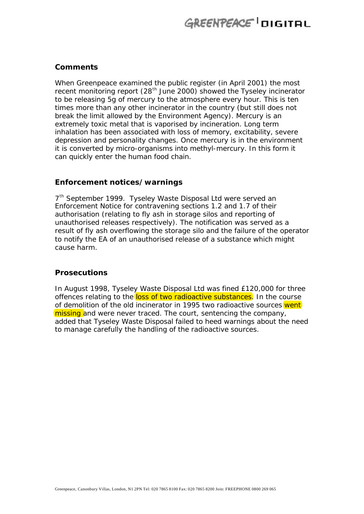### **Comments**

When Greenpeace examined the public register (in April 2001) the most recent monitoring report (28<sup>th</sup> June 2000) showed the Tyseley incinerator to be releasing 5g of mercury to the atmosphere every hour. This is ten times more than any other incinerator in the country (but still does not break the limit allowed by the Environment Agency). Mercury is an extremely toxic metal that is vaporised by incineration. Long term inhalation has been associated with loss of memory, excitability, severe depression and personality changes. Once mercury is in the environment it is converted by micro-organisms into methyl-mercury. In this form it can quickly enter the human food chain.

#### **Enforcement notices/warnings**

7<sup>th</sup> September 1999. Tyseley Waste Disposal Ltd were served an Enforcement Notice for contravening sections 1.2 and 1.7 of their authorisation (relating to fly ash in storage silos and reporting of unauthorised releases respectively). The notification was served as a result of fly ash overflowing the storage silo and the failure of the operator to notify the EA of an unauthorised release of a substance which might cause harm.

### **Prosecutions**

In August 1998, Tyseley Waste Disposal Ltd was fined £120,000 for three offences relating to the loss of two radioactive substances. In the course of demolition of the old incinerator in 1995 two radioactive sources went missing and were never traced. The court, sentencing the company, added that Tyseley Waste Disposal failed to heed warnings about the need to manage carefully the handling of the radioactive sources.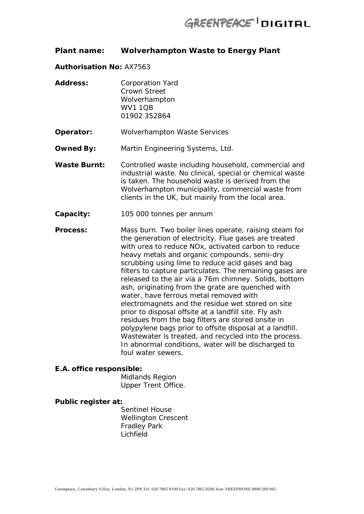### **Plant name: Wolverhampton Waste to Energy Plant**

#### **Authorisation No:** AX7563

| <b>Address:</b> | <b>Corporation Yard</b> |
|-----------------|-------------------------|
|                 | Crown Street            |
|                 | Wolverhampton           |
|                 | <b>WV1 1QB</b>          |
|                 | 01902 352864            |

**Operator:** Wolverhampton Waste Services

**Owned By:** Martin Engineering Systems, Ltd.

- Waste Burnt: Controlled waste including household, commercial and industrial waste. No clinical, special or chemical waste is taken. The household waste is derived from the Wolverhampton municipality, commercial waste from clients in the UK, but mainly from the local area.
- **Capacity:** 105 000 tonnes per annum

**Process:** Mass burn. Two boiler lines operate, raising steam for the generation of electricity. Flue gases are treated with urea to reduce NOx, activated carbon to reduce heavy metals and organic compounds, semi-dry scrubbing using lime to reduce acid gases and bag filters to capture particulates. The remaining gases are released to the air via a 76m chimney. Solids, bottom ash, originating from the grate are quenched with water, have ferrous metal removed with electromagnets and the residue wet stored on site prior to disposal offsite at a landfill site. Fly ash residues from the bag filters are stored onsite in polypylene bags prior to offsite disposal at a landfill. Wastewater is treated, and recycled into the process. In abnormal conditions, water will be discharged to foul water sewers.

#### **E.A. office responsible:**

Midlands Region Upper Trent Office.

#### **Public register at:**

Sentinel House Wellington Crescent Fradley Park Lichfield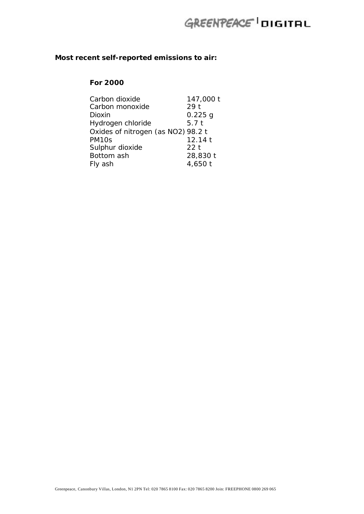## **Most recent self-reported emissions to air:**

### **For 2000**

| Carbon dioxide                     | 147,000 t       |
|------------------------------------|-----------------|
| Carbon monoxide                    | 29 <sub>t</sub> |
| Dioxin                             | $0.225$ g       |
| Hydrogen chloride                  | 5.7t            |
| Oxides of nitrogen (as NO2) 98.2 t |                 |
| PM <sub>10s</sub>                  | 12.14 t         |
| Sulphur dioxide                    | 22 <sub>t</sub> |
| Bottom ash                         | 28,830 t        |
| Fly ash                            | 4,650 t         |
|                                    |                 |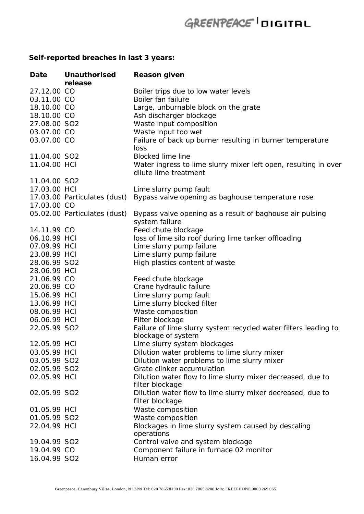## **Self-reported breaches in last 3 years:**

| Date         | <b>Unauthorised</b><br>release | <b>Reason given</b>                                                                      |
|--------------|--------------------------------|------------------------------------------------------------------------------------------|
| 27.12.00 CO  |                                | Boiler trips due to low water levels                                                     |
| 03.11.00 CO  |                                | Boiler fan failure                                                                       |
| 18.10.00 CO  |                                | Large, unburnable block on the grate                                                     |
| 18.10.00 CO  |                                | Ash discharger blockage                                                                  |
| 27.08.00 SO2 |                                | Waste input composition                                                                  |
| 03.07.00 CO  |                                | Waste input too wet                                                                      |
| 03.07.00 CO  |                                | Failure of back up burner resulting in burner temperature<br>loss                        |
| 11.04.00 SO2 |                                | <b>Blocked lime line</b>                                                                 |
| 11.04.00 HCI |                                | Water ingress to lime slurry mixer left open, resulting in over<br>dilute lime treatment |
| 11.04.00 SO2 |                                |                                                                                          |
| 17.03.00 HCI |                                | Lime slurry pump fault                                                                   |
|              | 17.03.00 Particulates (dust)   | Bypass valve opening as baghouse temperature rose                                        |
| 17.03.00 CO  |                                |                                                                                          |
|              | 05.02.00 Particulates (dust)   | Bypass valve opening as a result of baghouse air pulsing<br>system failure               |
| 14.11.99 CO  |                                | Feed chute blockage                                                                      |
| 06.10.99 HCI |                                | loss of lime silo roof during lime tanker offloading                                     |
| 07.09.99 HCI |                                | Lime slurry pump failure                                                                 |
| 23.08.99 HCI |                                | Lime slurry pump failure                                                                 |
| 28.06.99 SO2 |                                | High plastics content of waste                                                           |
| 28.06.99 HCI |                                |                                                                                          |
| 21.06.99 CO  |                                | Feed chute blockage                                                                      |
| 20.06.99 CO  |                                | Crane hydraulic failure                                                                  |
| 15.06.99 HCI |                                | Lime slurry pump fault                                                                   |
| 13.06.99 HCI |                                | Lime slurry blocked filter                                                               |
| 08.06.99 HCI |                                | Waste composition                                                                        |
| 06.06.99 HCI |                                | Filter blockage                                                                          |
| 22.05.99 SO2 |                                | Failure of lime slurry system recycled water filters leading to                          |
|              |                                | blockage of system                                                                       |
| 12.05.99 HCI |                                | Lime slurry system blockages                                                             |
| 03.05.99 HCI |                                | Dilution water problems to lime slurry mixer                                             |
| 03.05.99 SO2 |                                | Dilution water problems to lime slurry mixer                                             |
| 02.05.99 SO2 |                                | Grate clinker accumulation                                                               |
| 02.05.99 HCI |                                | Dilution water flow to lime slurry mixer decreased, due to                               |
|              |                                | filter blockage                                                                          |
| 02.05.99 SO2 |                                | Dilution water flow to lime slurry mixer decreased, due to                               |
|              |                                | filter blockage                                                                          |
| 01.05.99 HCI |                                | Waste composition                                                                        |
| 01.05.99 SO2 |                                | Waste composition                                                                        |
| 22.04.99 HCI |                                | Blockages in lime slurry system caused by descaling                                      |
|              |                                | operations                                                                               |
| 19.04.99 SO2 |                                | Control valve and system blockage                                                        |
| 19.04.99 CO  |                                | Component failure in furnace 02 monitor                                                  |
| 16.04.99 SO2 |                                | Human error                                                                              |
|              |                                |                                                                                          |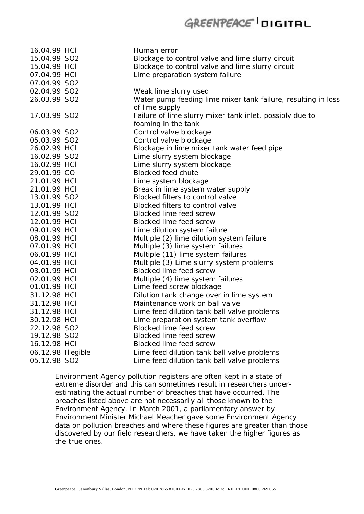| 16.04.99 HCI       | Human error                                                   |
|--------------------|---------------------------------------------------------------|
| 15.04.99 SO2       | Blockage to control valve and lime slurry circuit             |
| 15.04.99 HCI       | Blockage to control valve and lime slurry circuit             |
| 07.04.99 HCI       | Lime preparation system failure                               |
| 07.04.99 SO2       |                                                               |
| 02.04.99 SO2       | Weak lime slurry used                                         |
| 26.03.99 SO2       | Water pump feeding lime mixer tank failure, resulting in loss |
|                    | of lime supply                                                |
| 17.03.99 SO2       | Failure of lime slurry mixer tank inlet, possibly due to      |
|                    | foaming in the tank                                           |
| 06.03.99 SO2       | Control valve blockage                                        |
| 05.03.99 SO2       | Control valve blockage                                        |
| 26.02.99 HCI       | Blockage in lime mixer tank water feed pipe                   |
| 16.02.99 SO2       | Lime slurry system blockage                                   |
| 16.02.99 HCI       | Lime slurry system blockage                                   |
| 29.01.99 CO        | <b>Blocked feed chute</b>                                     |
| 21.01.99 HCI       | Lime system blockage                                          |
| 21.01.99 HCI       | Break in lime system water supply                             |
| 13.01.99 SO2       | Blocked filters to control valve                              |
| 13.01.99 HCI       | Blocked filters to control valve                              |
| 12.01.99 SO2       | Blocked lime feed screw                                       |
| 12.01.99 HCI       | <b>Blocked lime feed screw</b>                                |
| 09.01.99 HCI       | Lime dilution system failure                                  |
| 08.01.99 HCI       | Multiple (2) lime dilution system failure                     |
| 07.01.99 HCI       | Multiple (3) lime system failures                             |
| 06.01.99 HCI       | Multiple (11) lime system failures                            |
| 04.01.99 HCI       | Multiple (3) Lime slurry system problems                      |
| 03.01.99 HCI       | Blocked lime feed screw                                       |
| 02.01.99 HCI       | Multiple (4) lime system failures                             |
| 01.01.99 HCI       | Lime feed screw blockage                                      |
| 31.12.98 HCI       | Dilution tank change over in lime system                      |
| 31.12.98 HCI       | Maintenance work on ball valve                                |
| 31.12.98 HCI       | Lime feed dilution tank ball valve problems                   |
| 30.12.98 HCI       | Lime preparation system tank overflow                         |
| 22.12.98 SO2       | Blocked lime feed screw                                       |
| 19.12.98 SO2       | Blocked lime feed screw                                       |
| 16.12.98 HCI       | <b>Blocked lime feed screw</b>                                |
| 06.12.98 Illegible | Lime feed dilution tank ball valve problems                   |
| 05.12.98 SO2       | Lime feed dilution tank ball valve problems                   |

Environment Agency pollution registers are often kept in a state of extreme disorder and this can sometimes result in researchers underestimating the actual number of breaches that have occurred. The breaches listed above are not necessarily all those known to the Environment Agency. In March 2001, a parliamentary answer by Environment Minister Michael Meacher gave some Environment Agency data on pollution breaches and where these figures are greater than those discovered by our field researchers, we have taken the higher figures as the true ones.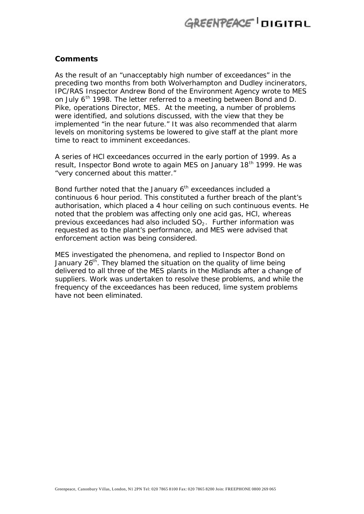#### **Comments**

As the result of an "unacceptably high number of exceedances" in the preceding two months from both Wolverhampton and Dudley incinerators, IPC/RAS Inspector Andrew Bond of the Environment Agency wrote to MES on July 6<sup>th</sup> 1998. The letter referred to a meeting between Bond and D. Pike, operations Director, MES. At the meeting, a number of problems were identified, and solutions discussed, with the view that they be implemented "in the near future." It was also recommended that alarm levels on monitoring systems be lowered to give staff at the plant more time to react to imminent exceedances.

A series of HCl exceedances occurred in the early portion of 1999. As a result, Inspector Bond wrote to again MES on January 18<sup>th</sup> 1999. He was "very concerned about this matter."

Bond further noted that the January  $6<sup>th</sup>$  exceedances included a continuous 6 hour period. This constituted a further breach of the plant's authorisation, which placed a 4 hour ceiling on such continuous events. He noted that the problem was affecting only one acid gas, HCl, whereas previous exceedances had also included  $SO<sub>2</sub>$ . Further information was requested as to the plant's performance, and MES were advised that enforcement action was being considered.

MES investigated the phenomena, and replied to Inspector Bond on January 26<sup>th</sup>. They blamed the situation on the quality of lime being delivered to all three of the MES plants in the Midlands after a change of suppliers. Work was undertaken to resolve these problems, and while the frequency of the exceedances has been reduced, lime system problems have not been eliminated.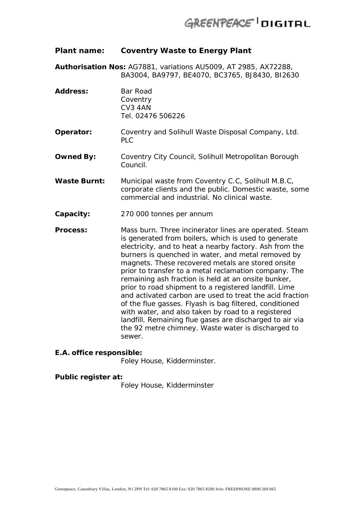### **Plant name: Coventry Waste to Energy Plant**

**Authorisation Nos:** AG7881, variations AU5009, AT 2985, AX72288, BA3004, BA9797, BE4070, BC3765, BJ8430, BI2630

Address: Bar Road **Coventry** CV3 4AN Tel. 02476 506226 **Operator:** Coventry and Solihull Waste Disposal Company, Ltd. PLC **Owned By:** Coventry City Council, Solihull Metropolitan Borough Council. **Waste Burnt:** Municipal waste from Coventry C.C, Solihull M.B.C, corporate clients and the public. Domestic waste, some commercial and industrial. No clinical waste. **Capacity:** 270 000 tonnes per annum **Process:** Mass burn. Three incinerator lines are operated. Steam is generated from boilers, which is used to generate

electricity, and to heat a nearby factory. Ash from the burners is quenched in water, and metal removed by magnets. These recovered metals are stored onsite prior to transfer to a metal reclamation company. The remaining ash fraction is held at an onsite bunker, prior to road shipment to a registered landfill. Lime and activated carbon are used to treat the acid fraction of the flue gasses. Flyash is bag filtered, conditioned with water, and also taken by road to a registered landfill. Remaining flue gases are discharged to air via the 92 metre chimney. Waste water is discharged to sewer.

#### **E.A. office responsible:**

Foley House, Kidderminster.

#### **Public register at:**

Foley House, Kidderminster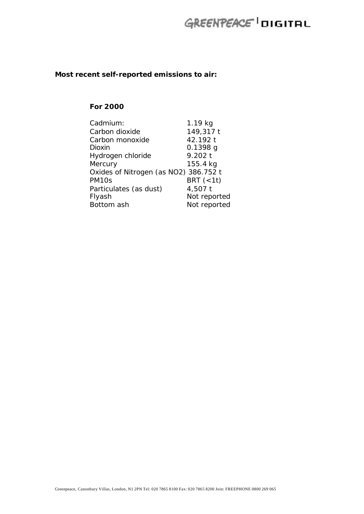### **Most recent self-reported emissions to air:**

### **For 2000**

| Cadmium:                              | 1.19 kg      |
|---------------------------------------|--------------|
| Carbon dioxide                        | 149,317 t    |
| Carbon monoxide                       | 42.192 t     |
| Dioxin                                | $0.1398$ g   |
| Hydrogen chloride                     | 9.202 t      |
| Mercury                               | 155.4 kg     |
| Oxides of Nitrogen (as NO2) 386.752 t |              |
| PM <sub>10s</sub>                     | BRT $(<1$ t) |
| Particulates (as dust)                | 4,507 t      |
| Flyash                                | Not reported |
| Bottom ash                            | Not reported |
|                                       |              |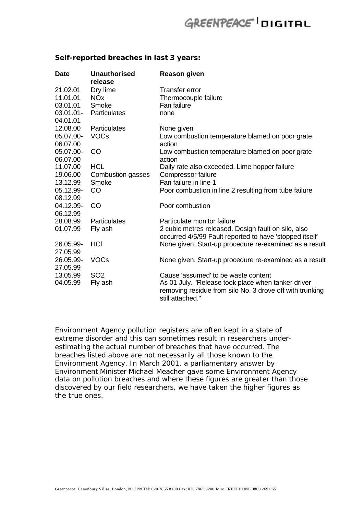| <b>Date</b> | <b>Unauthorised</b><br>release | <b>Reason given</b>                                                                                                                |
|-------------|--------------------------------|------------------------------------------------------------------------------------------------------------------------------------|
| 21.02.01    | Dry lime                       | <b>Transfer error</b>                                                                                                              |
| 11.01.01    | <b>NO<sub>x</sub></b>          | Thermocouple failure                                                                                                               |
| 03.01.01    | Smoke                          | Fan failure                                                                                                                        |
| 03.01.01-   | <b>Particulates</b>            | none                                                                                                                               |
| 04.01.01    |                                |                                                                                                                                    |
| 12.08.00    | <b>Particulates</b>            | None given                                                                                                                         |
| 05.07.00-   | <b>VOCs</b>                    | Low combustion temperature blamed on poor grate                                                                                    |
| 06.07.00    |                                | action                                                                                                                             |
| 05.07.00-   | <b>CO</b>                      | Low combustion temperature blamed on poor grate                                                                                    |
| 06.07.00    |                                | action                                                                                                                             |
| 11.07.00    | <b>HCL</b>                     | Daily rate also exceeded. Lime hopper failure                                                                                      |
| 19.06.00    | Combustion gasses              | Compressor failure                                                                                                                 |
| 13.12.99    | Smoke                          | Fan failure in line 1                                                                                                              |
| 05.12.99-   | CO                             | Poor combustion in line 2 resulting from tube failure                                                                              |
| 08.12.99    |                                |                                                                                                                                    |
| 04.12.99-   | <b>CO</b>                      | Poor combustion                                                                                                                    |
| 06.12.99    |                                |                                                                                                                                    |
| 28.08.99    | <b>Particulates</b>            | Particulate monitor failure                                                                                                        |
| 01.07.99    | Fly ash                        | 2 cubic metres released. Design fault on silo, also                                                                                |
|             |                                | occurred 4/5/99 Fault reported to have 'stopped itself'                                                                            |
| 26.05.99-   | <b>HCI</b>                     | None given. Start-up procedure re-examined as a result                                                                             |
| 27.05.99    |                                |                                                                                                                                    |
| 26.05.99-   | <b>VOCs</b>                    | None given. Start-up procedure re-examined as a result                                                                             |
| 27.05.99    |                                |                                                                                                                                    |
| 13.05.99    | <b>SO2</b>                     | Cause 'assumed' to be waste content                                                                                                |
| 04.05.99    | Fly ash                        | As 01 July. "Release took place when tanker driver<br>removing residue from silo No. 3 drove off with trunking<br>still attached." |

#### **Self-reported breaches in last 3 years:**

Environment Agency pollution registers are often kept in a state of extreme disorder and this can sometimes result in researchers underestimating the actual number of breaches that have occurred. The breaches listed above are not necessarily all those known to the Environment Agency. In March 2001, a parliamentary answer by Environment Minister Michael Meacher gave some Environment Agency data on pollution breaches and where these figures are greater than those discovered by our field researchers, we have taken the higher figures as the true ones.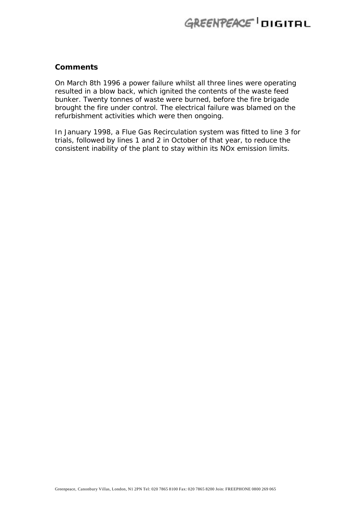### **Comments**

On March 8th 1996 a power failure whilst all three lines were operating resulted in a blow back, which ignited the contents of the waste feed bunker. Twenty tonnes of waste were burned, before the fire brigade brought the fire under control. The electrical failure was blamed on the refurbishment activities which were then ongoing.

In January 1998, a Flue Gas Recirculation system was fitted to line 3 for trials, followed by lines 1 and 2 in October of that year, to reduce the consistent inability of the plant to stay within its NOx emission limits.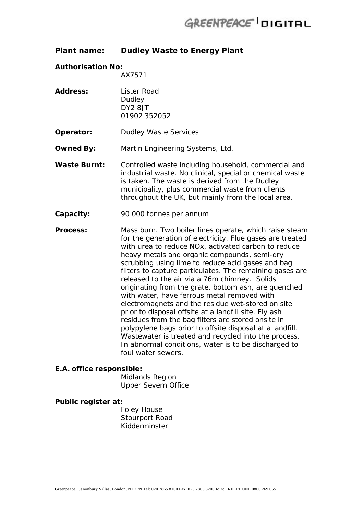### **Plant name: Dudley Waste to Energy Plant**

#### **Authorisation No:**

AX7571

- **Address:** Lister Road **Dudley** DY2 8JT 01902 352052
- **Operator:** Dudley Waste Services
- **Owned By:** Martin Engineering Systems, Ltd.
- Waste Burnt: Controlled waste including household, commercial and industrial waste. No clinical, special or chemical waste is taken. The waste is derived from the Dudley municipality, plus commercial waste from clients throughout the UK, but mainly from the local area.
- **Capacity:** 90 000 tonnes per annum
- **Process:** Mass burn. Two boiler lines operate, which raise steam for the generation of electricity. Flue gases are treated with urea to reduce NOx, activated carbon to reduce heavy metals and organic compounds, semi-dry scrubbing using lime to reduce acid gases and bag filters to capture particulates. The remaining gases are released to the air via a 76m chimney. Solids originating from the grate, bottom ash, are quenched with water, have ferrous metal removed with electromagnets and the residue wet-stored on site prior to disposal offsite at a landfill site. Fly ash residues from the bag filters are stored onsite in polypylene bags prior to offsite disposal at a landfill. Wastewater is treated and recycled into the process. In abnormal conditions, water is to be discharged to foul water sewers.

#### **E.A. office responsible:**

Midlands Region Upper Severn Office

#### **Public register at:**

Foley House Stourport Road Kidderminster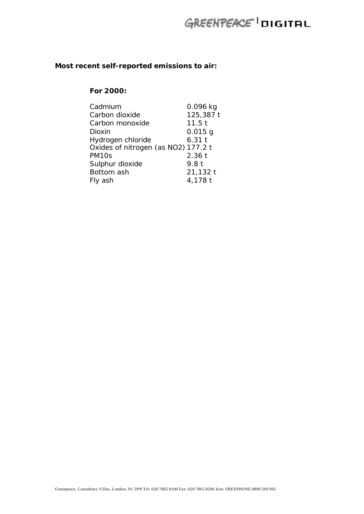### **Most recent self-reported emissions to air:**

### **For 2000:**

| Cadmium                             | $0.096$ kg       |
|-------------------------------------|------------------|
| Carbon dioxide                      | 125,387 t        |
| Carbon monoxide                     | 11.5t            |
| Dioxin                              | $0.015$ g        |
| Hydrogen chloride                   | 6.31t            |
| Oxides of nitrogen (as NO2) 177.2 t |                  |
| PM <sub>10s</sub>                   | 2.36t            |
| Sulphur dioxide                     | 9.8 <sub>t</sub> |
| Bottom ash                          | 21,132 t         |
| Fly ash                             | 4,178 t          |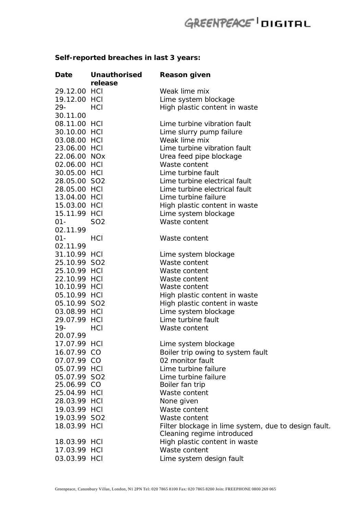## **Self-reported breaches in last 3 years:**

| <b>Date</b>  | <b>Unauthorised</b> | <b>Reason given</b>                                  |
|--------------|---------------------|------------------------------------------------------|
|              | release             |                                                      |
| 29.12.00 HCI |                     | Weak lime mix                                        |
| 19.12.00 HCI |                     | Lime system blockage                                 |
| $29 -$       | HCI                 | High plastic content in waste                        |
| 30.11.00     |                     |                                                      |
| 08.11.00 HCI |                     | Lime turbine vibration fault                         |
| 30.10.00 HCI |                     | Lime slurry pump failure                             |
| 03.08.00 HCI |                     | Weak lime mix                                        |
| 23.06.00 HCI |                     | Lime turbine vibration fault                         |
| 22.06.00 NOx |                     | Urea feed pipe blockage                              |
| 02.06.00 HCI |                     | Waste content                                        |
| 30.05.00 HCI |                     | Lime turbine fault                                   |
| 28.05.00 SO2 |                     | Lime turbine electrical fault                        |
| 28.05.00 HCI |                     | Lime turbine electrical fault                        |
| 13.04.00 HCI |                     | Lime turbine failure                                 |
| 15.03.00 HCI |                     | High plastic content in waste                        |
| 15.11.99 HCI |                     | Lime system blockage                                 |
| $01 -$       | SO <sub>2</sub>     | Waste content                                        |
| 02.11.99     |                     |                                                      |
| $01 -$       | HCI                 | Waste content                                        |
| 02.11.99     |                     |                                                      |
|              |                     |                                                      |
| 31.10.99 HCI |                     | Lime system blockage                                 |
| 25.10.99 SO2 |                     | Waste content                                        |
| 25.10.99 HCI |                     | Waste content                                        |
| 22.10.99 HCI |                     | Waste content                                        |
| 10.10.99 HCI |                     | Waste content                                        |
| 05.10.99 HCI |                     | High plastic content in waste                        |
| 05.10.99 SO2 |                     | High plastic content in waste                        |
| 03.08.99 HCI |                     | Lime system blockage                                 |
| 29.07.99 HCI |                     | Lime turbine fault                                   |
| $19-$        | HCI                 | Waste content                                        |
| 20.07.99     |                     |                                                      |
| 17.07.99 HCI |                     | Lime system blockage                                 |
| 16.07.99 CO  |                     | Boiler trip owing to system fault                    |
| 07.07.99 CO  |                     | 02 monitor fault                                     |
| 05.07.99 HCI |                     | Lime turbine failure                                 |
| 05.07.99 SO2 |                     | Lime turbine failure                                 |
| 25.06.99 CO  |                     | Boiler fan trip                                      |
| 25.04.99 HCI |                     | Waste content                                        |
| 28.03.99 HCI |                     | None given                                           |
| 19.03.99 HCI |                     | Waste content                                        |
| 19.03.99 SO2 |                     | Waste content                                        |
| 18.03.99 HCI |                     | Filter blockage in lime system, due to design fault. |
|              |                     | Cleaning regime introduced                           |
| 18.03.99 HCI |                     | High plastic content in waste                        |
| 17.03.99 HCI |                     | Waste content                                        |
| 03.03.99 HCI |                     | Lime system design fault                             |
|              |                     |                                                      |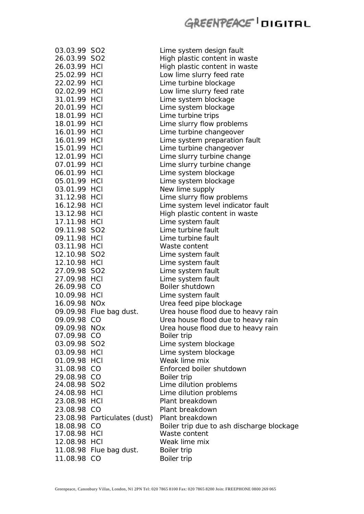| 03.03.99 SO2 |                              | Lime system design fault                  |
|--------------|------------------------------|-------------------------------------------|
| 26.03.99 SO2 |                              | High plastic content in waste             |
| 26.03.99 HCI |                              | High plastic content in waste             |
| 25.02.99 HCI |                              | Low lime slurry feed rate                 |
| 22.02.99 HCI |                              | Lime turbine blockage                     |
| 02.02.99 HCI |                              | Low lime slurry feed rate                 |
| 31.01.99 HCI |                              | Lime system blockage                      |
| 20.01.99 HCI |                              | Lime system blockage                      |
| 18.01.99 HCI |                              | Lime turbine trips                        |
| 18.01.99 HCI |                              | Lime slurry flow problems                 |
| 16.01.99 HCI |                              | Lime turbine changeover                   |
| 16.01.99 HCI |                              | Lime system preparation fault             |
| 15.01.99 HCI |                              | Lime turbine changeover                   |
| 12.01.99 HCI |                              | Lime slurry turbine change                |
| 07.01.99 HCI |                              | Lime slurry turbine change                |
| 06.01.99 HCI |                              | Lime system blockage                      |
| 05.01.99 HCI |                              | Lime system blockage                      |
| 03.01.99 HCI |                              | New lime supply                           |
| 31.12.98 HCI |                              | Lime slurry flow problems                 |
| 16.12.98 HCI |                              | Lime system level indicator fault         |
| 13.12.98 HCI |                              | High plastic content in waste             |
| 17.11.98 HCI |                              | Lime system fault                         |
|              |                              | Lime turbine fault                        |
| 09.11.98 SO2 |                              |                                           |
| 09.11.98 HCI |                              | Lime turbine fault                        |
| 03.11.98 HCI |                              | Waste content                             |
| 12.10.98 SO2 |                              | Lime system fault                         |
| 12.10.98 HCI |                              | Lime system fault                         |
| 27.09.98 SO2 |                              | Lime system fault                         |
| 27.09.98 HCI |                              | Lime system fault                         |
| 26.09.98 CO  |                              | Boiler shutdown                           |
| 10.09.98 HCI |                              | Lime system fault                         |
| 16.09.98 NOx |                              | Urea feed pipe blockage                   |
|              | 09.09.98 Flue bag dust.      | Urea house flood due to heavy rain        |
| 09.09.98 CO  |                              | Urea house flood due to heavy rain        |
| 09.09.98 NOx |                              | Urea house flood due to heavy rain        |
| 07.09.98 CO  |                              | Boiler trip                               |
| 03.09.98 SO2 |                              | Lime system blockage                      |
| 03.09.98 HCI |                              | Lime system blockage                      |
| 01.09.98 HCI |                              | Weak lime mix                             |
| 31.08.98 CO  |                              | Enforced boiler shutdown                  |
| 29.08.98 CO  |                              | Boiler trip                               |
| 24.08.98 SO2 |                              | Lime dilution problems                    |
| 24.08.98 HCI |                              | Lime dilution problems                    |
| 23.08.98 HCI |                              | Plant breakdown                           |
| 23.08.98 CO  |                              | Plant breakdown                           |
|              | 23.08.98 Particulates (dust) | Plant breakdown                           |
| 18.08.98 CO  |                              | Boiler trip due to ash discharge blockage |
| 17.08.98 HCI |                              | Waste content                             |
| 12.08.98 HCI |                              | Weak lime mix                             |
|              | 11.08.98 Flue bag dust.      | Boiler trip                               |
| 11.08.98 CO  |                              | Boiler trip                               |
|              |                              |                                           |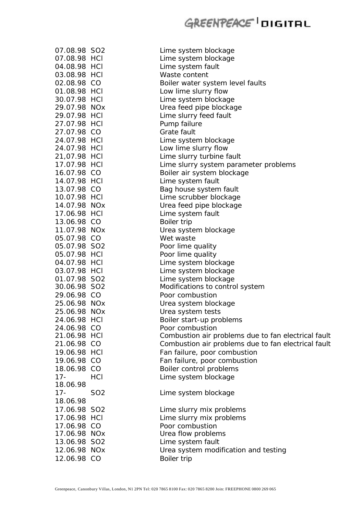| 07.08.98 SO2<br>07.08.98 HCI |            | Lime system blockage<br>Lime system blockage        |
|------------------------------|------------|-----------------------------------------------------|
| 04.08.98 HCI                 |            |                                                     |
| 03.08.98 HCI                 |            | Lime system fault<br>Waste content                  |
|                              |            |                                                     |
| 02.08.98 CO                  |            | Boiler water system level faults                    |
| 01.08.98 HCI                 |            | Low lime slurry flow                                |
| 30.07.98 HCI                 |            | Lime system blockage                                |
| 29.07.98 NOx                 |            | Urea feed pipe blockage                             |
| 29.07.98 HCI                 |            | Lime slurry feed fault                              |
| 27.07.98 HCI                 |            | Pump failure                                        |
| 27.07.98 CO                  |            | Grate fault                                         |
| 24.07.98 HCI                 |            | Lime system blockage                                |
| 24.07.98 HCI                 |            | Low lime slurry flow                                |
| 21,07.98 HCI                 |            | Lime slurry turbine fault                           |
| 17.07.98 HCI                 |            | Lime slurry system parameter problems               |
| 16.07.98 CO                  |            | Boiler air system blockage                          |
| 14.07.98 HCI                 |            | Lime system fault                                   |
| 13.07.98 CO                  |            | Bag house system fault                              |
| 10.07.98 HCI                 |            | Lime scrubber blockage                              |
| 14.07.98 NOx                 |            | Urea feed pipe blockage                             |
| 17.06.98 HCI                 |            | Lime system fault                                   |
| 13.06.98 CO                  |            | Boiler trip                                         |
| 11.07.98 NOx                 |            | Urea system blockage                                |
| 05.07.98 CO                  |            | Wet waste                                           |
| 05.07.98 SO2                 |            | Poor lime quality                                   |
| 05.07.98 HCI                 |            | Poor lime quality                                   |
| 04.07.98 HCI                 |            | Lime system blockage                                |
| 03.07.98 HCI                 |            | Lime system blockage                                |
| 01.07.98 SO2                 |            | Lime system blockage                                |
| 30.06.98 SO2                 |            | Modifications to control system                     |
| 29.06.98 CO                  |            | Poor combustion                                     |
| 25.06.98 NOx                 |            | Urea system blockage                                |
| 25.06.98 NOx                 |            | Urea system tests                                   |
| 24.06.98 HCI                 |            |                                                     |
| 24.06.98 CO                  |            | Boiler start-up problems                            |
|                              |            | Poor combustion                                     |
| 21.06.98 HCI                 |            | Combustion air problems due to fan electrical fault |
| 21.06.98 CO                  |            | Combustion air problems due to fan electrical fault |
| 19.06.98 HCI                 |            | Fan failure, poor combustion                        |
| 19.06.98 CO                  |            | Fan failure, poor combustion                        |
| 18.06.98 CO                  |            | Boiler control problems                             |
| $17 -$                       | HCI        | Lime system blockage                                |
| 18.06.98                     |            |                                                     |
| $17 -$                       | <b>SO2</b> | Lime system blockage                                |
| 18.06.98                     |            |                                                     |
| 17.06.98 SO2                 |            | Lime slurry mix problems                            |
| 17.06.98 HCI                 |            | Lime slurry mix problems                            |
| 17.06.98 CO                  |            | Poor combustion                                     |
| 17.06.98 NOx                 |            | Urea flow problems                                  |
| 13.06.98 SO2                 |            | Lime system fault                                   |
| 12.06.98 NOx                 |            | Urea system modification and testing                |
| 12.06.98 CO                  |            | Boiler trip                                         |
|                              |            |                                                     |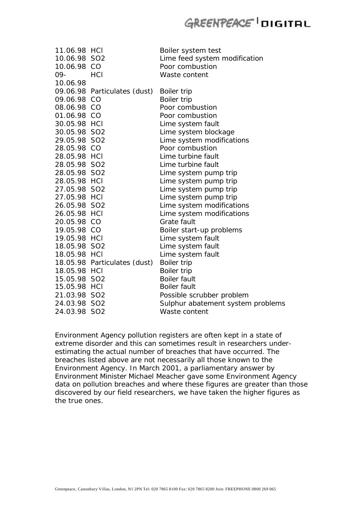| 11.06.98 HCI |                              | Boiler system test                |
|--------------|------------------------------|-----------------------------------|
| 10.06.98 SO2 |                              | Lime feed system modification     |
| 10.06.98 CO  |                              | Poor combustion                   |
| 09-          | HCI                          | Waste content                     |
| 10.06.98     |                              |                                   |
|              | 09.06.98 Particulates (dust) | Boiler trip                       |
| 09.06.98 CO  |                              | Boiler trip                       |
| 08.06.98 CO  |                              | Poor combustion                   |
| 01.06.98 CO  |                              | Poor combustion                   |
| 30.05.98 HCI |                              | Lime system fault                 |
| 30.05.98 SO2 |                              | Lime system blockage              |
| 29.05.98 SO2 |                              | Lime system modifications         |
| 28.05.98 CO  |                              | Poor combustion                   |
| 28.05.98 HCI |                              | Lime turbine fault                |
| 28.05.98 SO2 |                              | Lime turbine fault                |
| 28.05.98 SO2 |                              | Lime system pump trip             |
| 28.05.98 HCI |                              | Lime system pump trip             |
| 27.05.98 SO2 |                              | Lime system pump trip             |
| 27.05.98 HCI |                              | Lime system pump trip             |
| 26.05.98 SO2 |                              | Lime system modifications         |
| 26.05.98 HCI |                              | Lime system modifications         |
| 20.05.98 CO  |                              | <b>Grate fault</b>                |
| 19.05.98 CO  |                              | Boiler start-up problems          |
| 19.05.98 HCI |                              | Lime system fault                 |
| 18.05.98 SO2 |                              | Lime system fault                 |
| 18.05.98 HCI |                              | Lime system fault                 |
|              | 18.05.98 Particulates (dust) | Boiler trip                       |
| 18.05.98 HCI |                              | Boiler trip                       |
| 15.05.98 SO2 |                              | <b>Boiler fault</b>               |
| 15.05.98 HCI |                              | <b>Boiler fault</b>               |
| 21.03.98 SO2 |                              | Possible scrubber problem         |
| 24.03.98 SO2 |                              | Sulphur abatement system problems |
| 24.03.98 SO2 |                              | Waste content                     |

Environment Agency pollution registers are often kept in a state of extreme disorder and this can sometimes result in researchers underestimating the actual number of breaches that have occurred. The breaches listed above are not necessarily all those known to the Environment Agency. In March 2001, a parliamentary answer by Environment Minister Michael Meacher gave some Environment Agency data on pollution breaches and where these figures are greater than those discovered by our field researchers, we have taken the higher figures as the true ones.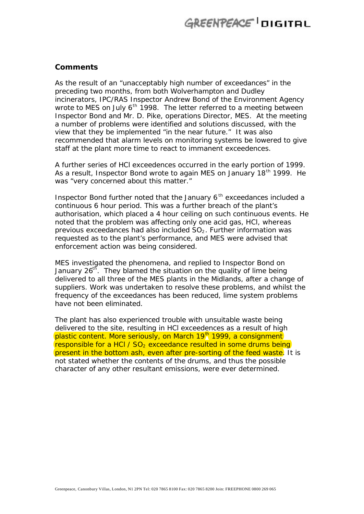#### **Comments**

As the result of an "unacceptably high number of exceedances" in the preceding two months, from both Wolverhampton and Dudley incinerators, IPC/RAS Inspector Andrew Bond of the Environment Agency wrote to MES on July  $6<sup>th</sup>$  1998. The letter referred to a meeting between Inspector Bond and Mr. D. Pike, operations Director, MES. At the meeting a number of problems were identified and solutions discussed, with the view that they be implemented "in the near future." It was also recommended that alarm levels on monitoring systems be lowered to give staff at the plant more time to react to immanent exceedences.

A further series of HCl exceedences occurred in the early portion of 1999. As a result, Inspector Bond wrote to again MES on January 18<sup>th</sup> 1999. He was "very concerned about this matter."

Inspector Bond further noted that the January  $6<sup>th</sup>$  exceedances included a continuous 6 hour period. This was a further breach of the plant's authorisation, which placed a 4 hour ceiling on such continuous events. He noted that the problem was affecting only one acid gas, HCl, whereas previous exceedances had also included  $SO<sub>2</sub>$ . Further information was requested as to the plant's performance, and MES were advised that enforcement action was being considered.

MES investigated the phenomena, and replied to Inspector Bond on January  $26<sup>th</sup>$ . They blamed the situation on the quality of lime being delivered to all three of the MES plants in the Midlands, after a change of suppliers. Work was undertaken to resolve these problems, and whilst the frequency of the exceedances has been reduced, lime system problems have not been eliminated.

The plant has also experienced trouble with unsuitable waste being delivered to the site, resulting in HCl exceedences as a result of high plastic content. More seriously, on March 19<sup>th</sup> 1999, a consignment responsible for a HCl /  $SO<sub>2</sub>$  exceedance resulted in some drums being present in the bottom ash, even after pre-sorting of the feed waste. It is not stated whether the contents of the drums, and thus the possible character of any other resultant emissions, were ever determined.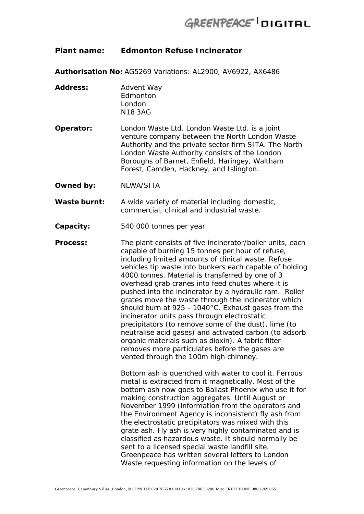### **Plant name: Edmonton Refuse Incinerator**

**Authorisation No:** AG5269 Variations: AL2900, AV6922, AX6486

- **Address:** Advent Way Edmonton London N18 3AG
- **Operator:** London Waste Ltd. London Waste Ltd. is a joint venture company between the North London Waste Authority and the private sector firm SITA. The North London Waste Authority consists of the London Boroughs of Barnet, Enfield, Haringey, Waltham Forest, Camden, Hackney, and Islington.
- **Owned by:** NLWA/SITA
- **Waste burnt:** A wide variety of material including domestic, commercial, clinical and industrial waste.
- **Capacity:** 540 000 tonnes per year
- **Process:** The plant consists of five incinerator/boiler units, each capable of burning 15 tonnes per hour of refuse, including limited amounts of clinical waste. Refuse vehicles tip waste into bunkers each capable of holding 4000 tonnes. Material is transferred by one of 3 overhead grab cranes into feed chutes where it is pushed into the incinerator by a hydraulic ram. Roller grates move the waste through the incinerator which should burn at 925 - 1040°C. Exhaust gases from the incinerator units pass through electrostatic precipitators (to remove some of the dust), lime (to neutralise acid gases) and activated carbon (to adsorb organic materials such as dioxin). A fabric filter removes more particulates before the gases are vented through the 100m high chimney.

Bottom ash is quenched with water to cool it. Ferrous metal is extracted from it magnetically. Most of the bottom ash now goes to Ballast Phoenix who use it for making construction aggregates. Until August or November 1999 (information from the operators and the Environment Agency is inconsistent) fly ash from the electrostatic precipitators was mixed with this grate ash. Fly ash is very highly contaminated and is classified as hazardous waste. It should normally be sent to a licensed special waste landfill site. Greenpeace has written several letters to London Waste requesting information on the levels of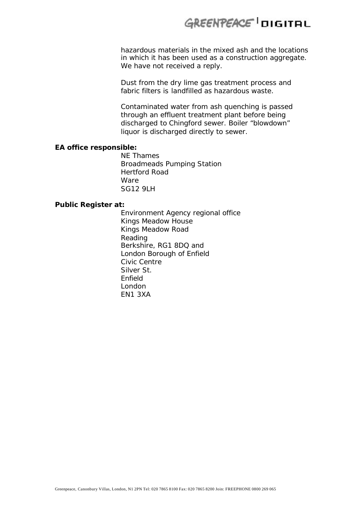hazardous materials in the mixed ash and the locations in which it has been used as a construction aggregate. We have not received a reply.

Dust from the dry lime gas treatment process and fabric filters is landfilled as hazardous waste.

Contaminated water from ash quenching is passed through an effluent treatment plant before being discharged to Chingford sewer. Boiler "blowdown" liquor is discharged directly to sewer.

#### **EA office responsible:**

NE Thames Broadmeads Pumping Station Hertford Road Ware SG12 9LH

### **Public Register at:**

Environment Agency regional office Kings Meadow House Kings Meadow Road Reading Berkshire, RG1 8DQ *and* London Borough of Enfield Civic Centre Silver St. Enfield London EN1 3XA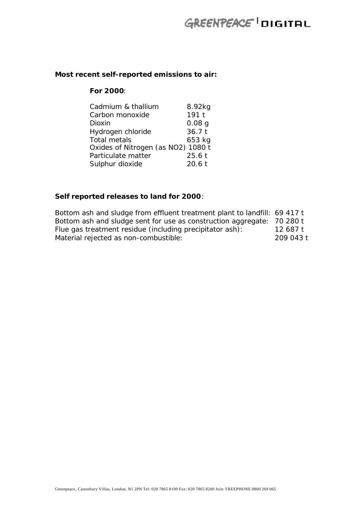### **Most recent self-reported emissions to air:**

### **For 2000**:

| Cadmium & thallium                 | 8.92kg            |
|------------------------------------|-------------------|
| Carbon monoxide                    | 191 <sub>t</sub>  |
| Dioxin                             | 0.08 <sub>q</sub> |
| Hydrogen chloride                  | 36.7t             |
| <b>Total metals</b>                | 653 kg            |
| Oxides of Nitrogen (as NO2) 1080 t |                   |
| Particulate matter                 | 25.6t             |
| Sulphur dioxide                    | 20.6t             |

### **Self reported releases to land for 2000**:

| Bottom ash and sludge from effluent treatment plant to landfill: 69 417 t |           |
|---------------------------------------------------------------------------|-----------|
| Bottom ash and sludge sent for use as construction aggregate: 70 280 t    |           |
| Flue gas treatment residue (including precipitator ash):                  | 12 687 t  |
| Material rejected as non-combustible:                                     | 209 043 t |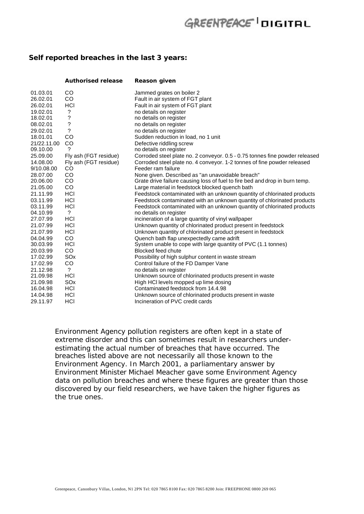#### **Self reported breaches in the last 3 years:**

|             | <b>Authorised release</b> | Reason given                                                                |
|-------------|---------------------------|-----------------------------------------------------------------------------|
| 01.03.01    | CO                        | Jammed grates on boiler 2                                                   |
| 26.02.01    | CO.                       | Fault in air system of FGT plant                                            |
| 26.02.01    | HCI                       | Fault in air system of FGT plant                                            |
| 19.02.01    | ?                         | no details on register                                                      |
| 18.02.01    | ?                         | no details on register                                                      |
| 08.02.01    | ?                         | no details on register                                                      |
| 29.02.01    | ?                         | no details on register                                                      |
| 18.01.01    | CO                        | Sudden reduction in load, no 1 unit                                         |
| 21/22.11.00 | <b>CO</b>                 | Defective riddling screw                                                    |
| 09.10.00    | $\gamma$                  | no details on register                                                      |
| 25.09.00    | Fly ash (FGT residue)     | Corroded steel plate no. 2 conveyor. 0.5 - 0.75 tonnes fine powder released |
| 14.08.00    | Fly ash (FGT residue)     | Corroded steel plate no. 4 conveyor. 1-2 tonnes of fine powder released     |
| 9/10.08.00  | <b>CO</b>                 | Feeder ram failure                                                          |
| 28.07.00    | CO                        | None given. Described as "an unavoidable breach"                            |
| 20.06.00    | CO.                       | Grate drive failure causing loss of fuel to fire bed and drop in burn temp. |
| 21.05.00    | CO                        | Large material in feedstock blocked quench bath                             |
| 21.11.99    | HCI                       | Feedstock contaminated with an unknown quantity of chlorinated products     |
| 03.11.99    | HCI                       | Feedstock contaminated with an unknown quantity of chlorinated products     |
| 03.11.99    | HCI                       | Feedstock contaminated with an unknown quantity of chlorinated products     |
| 04.10.99    | ?                         | no details on register                                                      |
| 27.07.99    | HCI                       | incineration of a large quantity of vinyl wallpaper                         |
| 21.07.99    | HCI                       | Unknown quantity of chlorinated product present in feedstock                |
| 21.07.99    | HCI                       | Unknown quantity of chlorinated product present in feedstock                |
| 04.04.99    | <b>CO</b>                 | Quench bath flap unexpectedly came adrift                                   |
| 30.03.99    | HCI                       | System unable to cope with large quantity of PVC (1.1 tonnes)               |
| 20.03.99    | CO.                       | <b>Blocked feed chute</b>                                                   |
| 17.02.99    | SO <sub>x</sub>           | Possibility of high sulphur content in waste stream                         |
| 17.02.99    | CO                        | Control failure of the FD Damper Vane                                       |
| 21.12.98    | $\gamma$                  | no details on register                                                      |
| 21.09.98    | <b>HCI</b>                | Unknown source of chlorinated products present in waste                     |
| 21.09.98    | SO <sub>x</sub>           | High HCI levels mopped up lime dosing                                       |
| 16.04.98    | HCI                       | Contaminated feedstock from 14.4.98                                         |
| 14.04.98    | HCI                       | Unknown source of chlorinated products present in waste                     |
| 29.11.97    | HCI                       | Incineration of PVC credit cards                                            |

Environment Agency pollution registers are often kept in a state of extreme disorder and this can sometimes result in researchers underestimating the actual number of breaches that have occurred. The breaches listed above are not necessarily all those known to the Environment Agency. In March 2001, a parliamentary answer by Environment Minister Michael Meacher gave some Environment Agency data on pollution breaches and where these figures are greater than those discovered by our field researchers, we have taken the higher figures as the true ones.